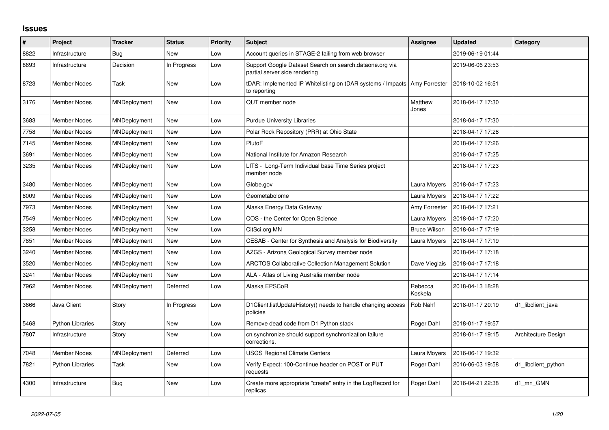## **Issues**

| #    | Project                 | <b>Tracker</b>      | <b>Status</b> | <b>Priority</b> | <b>Subject</b>                                                                              | <b>Assignee</b>     | <b>Updated</b>   | Category            |
|------|-------------------------|---------------------|---------------|-----------------|---------------------------------------------------------------------------------------------|---------------------|------------------|---------------------|
| 8822 | Infrastructure          | <b>Bug</b>          | New           | Low             | Account queries in STAGE-2 failing from web browser                                         |                     | 2019-06-19 01:44 |                     |
| 8693 | Infrastructure          | Decision            | In Progress   | Low             | Support Google Dataset Search on search.dataone.org via<br>partial server side rendering    |                     | 2019-06-06 23:53 |                     |
| 8723 | <b>Member Nodes</b>     | Task                | New           | Low             | tDAR: Implemented IP Whitelisting on tDAR systems / Impacts   Amy Forrester<br>to reporting |                     | 2018-10-02 16:51 |                     |
| 3176 | <b>Member Nodes</b>     | MNDeployment        | New           | Low             | QUT member node                                                                             | Matthew<br>Jones    | 2018-04-17 17:30 |                     |
| 3683 | <b>Member Nodes</b>     | MNDeployment        | New           | Low             | <b>Purdue University Libraries</b>                                                          |                     | 2018-04-17 17:30 |                     |
| 7758 | Member Nodes            | MNDeployment        | <b>New</b>    | Low             | Polar Rock Repository (PRR) at Ohio State                                                   |                     | 2018-04-17 17:28 |                     |
| 7145 | <b>Member Nodes</b>     | MNDeployment        | New           | Low             | PlutoF                                                                                      |                     | 2018-04-17 17:26 |                     |
| 3691 | <b>Member Nodes</b>     | MNDeployment        | New           | Low             | National Institute for Amazon Research                                                      |                     | 2018-04-17 17:25 |                     |
| 3235 | <b>Member Nodes</b>     | <b>MNDeployment</b> | New           | Low             | LITS - Long-Term Individual base Time Series project<br>member node                         |                     | 2018-04-17 17:23 |                     |
| 3480 | <b>Member Nodes</b>     | MNDeployment        | <b>New</b>    | Low             | Globe.gov                                                                                   | Laura Moyers        | 2018-04-17 17:23 |                     |
| 8009 | <b>Member Nodes</b>     | MNDeployment        | New           | Low             | Geometabolome                                                                               | Laura Moyers        | 2018-04-17 17:22 |                     |
| 7973 | <b>Member Nodes</b>     | MNDeployment        | New           | Low             | Alaska Energy Data Gateway                                                                  | Amy Forrester       | 2018-04-17 17:21 |                     |
| 7549 | <b>Member Nodes</b>     | <b>MNDeployment</b> | New           | Low             | COS - the Center for Open Science                                                           | Laura Moyers        | 2018-04-17 17:20 |                     |
| 3258 | Member Nodes            | MNDeployment        | New           | Low             | CitSci.org MN                                                                               | <b>Bruce Wilson</b> | 2018-04-17 17:19 |                     |
| 7851 | <b>Member Nodes</b>     | MNDeployment        | New           | Low             | CESAB - Center for Synthesis and Analysis for Biodiversity                                  | Laura Moyers        | 2018-04-17 17:19 |                     |
| 3240 | <b>Member Nodes</b>     | MNDeployment        | New           | Low             | AZGS - Arizona Geological Survey member node                                                |                     | 2018-04-17 17:18 |                     |
| 3520 | <b>Member Nodes</b>     | MNDeployment        | New           | Low             | ARCTOS Collaborative Collection Management Solution                                         | Dave Vieglais       | 2018-04-17 17:18 |                     |
| 3241 | <b>Member Nodes</b>     | MNDeployment        | New           | Low             | ALA - Atlas of Living Australia member node                                                 |                     | 2018-04-17 17:14 |                     |
| 7962 | Member Nodes            | <b>MNDeployment</b> | Deferred      | Low             | Alaska EPSCoR                                                                               | Rebecca<br>Koskela  | 2018-04-13 18:28 |                     |
| 3666 | Java Client             | Story               | In Progress   | Low             | D1Client.listUpdateHistory() needs to handle changing access<br>policies                    | Rob Nahf            | 2018-01-17 20:19 | d1 libclient java   |
| 5468 | <b>Python Libraries</b> | Story               | <b>New</b>    | Low             | Remove dead code from D1 Python stack                                                       | Roger Dahl          | 2018-01-17 19:57 |                     |
| 7807 | Infrastructure          | Story               | New           | Low             | cn.synchronize should support synchronization failure<br>corrections.                       |                     | 2018-01-17 19:15 | Architecture Design |
| 7048 | <b>Member Nodes</b>     | MNDeployment        | Deferred      | Low             | <b>USGS Regional Climate Centers</b>                                                        | Laura Moyers        | 2016-06-17 19:32 |                     |
| 7821 | <b>Python Libraries</b> | Task                | New           | Low             | Verify Expect: 100-Continue header on POST or PUT<br>requests                               | Roger Dahl          | 2016-06-03 19:58 | d1 libclient python |
| 4300 | Infrastructure          | Bug                 | New           | Low             | Create more appropriate "create" entry in the LogRecord for<br>replicas                     | Roger Dahl          | 2016-04-21 22:38 | d1_mn_GMN           |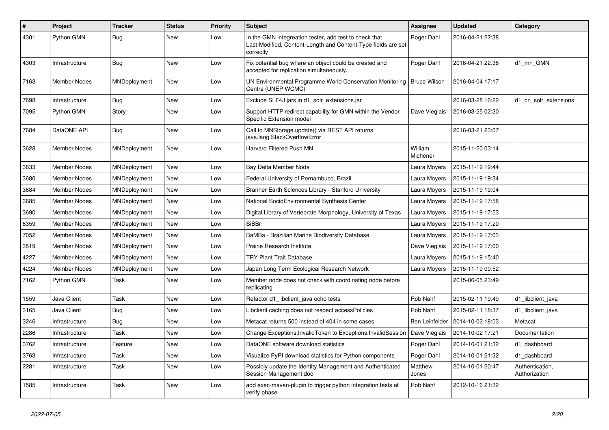| $\vert$ # | Project             | <b>Tracker</b> | <b>Status</b> | <b>Priority</b> | <b>Subject</b>                                                                                                                       | Assignee            | <b>Updated</b>   | Category                         |
|-----------|---------------------|----------------|---------------|-----------------|--------------------------------------------------------------------------------------------------------------------------------------|---------------------|------------------|----------------------------------|
| 4301      | Python GMN          | <b>Bug</b>     | New           | Low             | In the GMN integreation tester, add test to check that<br>Last-Modified, Content-Length and Content-Type fields are set<br>correctly | Roger Dahl          | 2016-04-21 22:38 |                                  |
| 4303      | Infrastructure      | <b>Bug</b>     | <b>New</b>    | Low             | Fix potential bug where an object could be created and<br>accepted for replication simultaneously.                                   | Roger Dahl          | 2016-04-21 22:38 | d1 mn GMN                        |
| 7163      | Member Nodes        | MNDeployment   | New           | Low             | UN Environmental Programme World Conservation Monitoring<br>Centre (UNEP WCMC)                                                       | Bruce Wilson        | 2016-04-04 17:17 |                                  |
| 7698      | Infrastructure      | Bug            | New           | Low             | Exclude SLF4J jars in d1 solr extensions.jar                                                                                         |                     | 2016-03-28 16:22 | d1 cn solr extensions            |
| 7095      | Python GMN          | Story          | New           | Low             | Support HTTP redirect capability for GMN within the Vendor<br>Specific Extension model                                               | Dave Vieglais       | 2016-03-25 02:30 |                                  |
| 7684      | DataONE API         | <b>Bug</b>     | <b>New</b>    | Low             | Call to MNStorage.update() via REST API returns<br>java.lang.StackOverflowError                                                      |                     | 2016-03-21 23:07 |                                  |
| 3628      | Member Nodes        | MNDeployment   | New           | Low             | Harvard Filtered Push MN                                                                                                             | William<br>Michener | 2015-11-20 03:14 |                                  |
| 3633      | <b>Member Nodes</b> | MNDeployment   | New           | Low             | Bay Delta Member Node                                                                                                                | Laura Moyers        | 2015-11-19 19:44 |                                  |
| 3680      | <b>Member Nodes</b> | MNDeployment   | New           | Low             | Federal University of Pernambuco, Brazil                                                                                             | Laura Moyers        | 2015-11-19 19:34 |                                  |
| 3684      | Member Nodes        | MNDeployment   | New           | Low             | Branner Earth Sciences Library - Stanford University                                                                                 | Laura Moyers        | 2015-11-19 19:04 |                                  |
| 3685      | Member Nodes        | MNDeployment   | New           | Low             | National SocioEnvironmental Synthesis Center                                                                                         | Laura Moyers        | 2015-11-19 17:58 |                                  |
| 3690      | Member Nodes        | MNDeployment   | New           | Low             | Digital Library of Vertebrate Morphology, University of Texas                                                                        | Laura Moyers        | 2015-11-19 17:53 |                                  |
| 6359      | Member Nodes        | MNDeployment   | New           | Low             | <b>SiBBr</b>                                                                                                                         | Laura Moyers        | 2015-11-19 17:20 |                                  |
| 7052      | Member Nodes        | MNDeployment   | New           | Low             | BaMBa - Brazilian Marine Biodiversity Database                                                                                       | Laura Moyers        | 2015-11-19 17:03 |                                  |
| 3519      | Member Nodes        | MNDeployment   | New           | Low             | Prairie Research Institute                                                                                                           | Dave Vieglais       | 2015-11-19 17:00 |                                  |
| 4227      | Member Nodes        | MNDeployment   | New           | Low             | <b>TRY Plant Trait Database</b>                                                                                                      | Laura Moyers        | 2015-11-19 15:40 |                                  |
| 4224      | <b>Member Nodes</b> | MNDeployment   | New           | Low             | Japan Long Term Ecological Research Network                                                                                          | Laura Moyers        | 2015-11-19 00:52 |                                  |
| 7162      | Python GMN          | Task           | New           | Low             | Member node does not check with coordinating node before<br>replicating                                                              |                     | 2015-06-05 23:49 |                                  |
| 1559      | Java Client         | Task           | <b>New</b>    | Low             | Refactor d1 libclient java echo tests                                                                                                | Rob Nahf            | 2015-02-11 19:49 | d1_libclient_java                |
| 3165      | Java Client         | Bug            | New           | Low             | Libclient caching does not respect accessPolicies                                                                                    | Rob Nahf            | 2015-02-11 18:37 | d1 libclient java                |
| 3246      | Infrastructure      | Bug            | New           | Low             | Metacat returns 500 instead of 404 in some cases                                                                                     | Ben Leinfelder      | 2014-10-02 18:03 | Metacat                          |
| 2286      | Infrastructure      | Task           | New           | Low             | Change Exceptions. Invalid Token to Exceptions. Invalid Session                                                                      | Dave Vieglais       | 2014-10-02 17:21 | Documentation                    |
| 3762      | Infrastructure      | Feature        | New           | Low             | DataONE software download statistics                                                                                                 | Roger Dahl          | 2014-10-01 21:32 | d1 dashboard                     |
| 3763      | Infrastructure      | Task           | New           | Low             | Visualize PyPI download statistics for Python components                                                                             | Roger Dahl          | 2014-10-01 21:32 | d1 dashboard                     |
| 2281      | Infrastructure      | Task           | New           | Low             | Possibly update the Identity Management and Authenticated<br>Session Management doc                                                  | Matthew<br>Jones    | 2014-10-01 20:47 | Authentication,<br>Authorization |
| 1585      | Infrastructure      | Task           | New           | Low             | add exec-maven-plugin to trigger python integration tests at<br>verify phase.                                                        | Rob Nahf            | 2012-10-16 21:32 |                                  |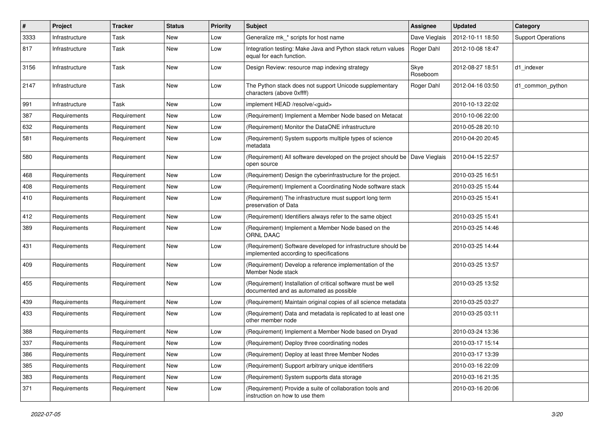| #    | Project        | <b>Tracker</b> | <b>Status</b> | <b>Priority</b> | Subject                                                                                                  | <b>Assignee</b>  | <b>Updated</b>   | Category                  |
|------|----------------|----------------|---------------|-----------------|----------------------------------------------------------------------------------------------------------|------------------|------------------|---------------------------|
| 3333 | Infrastructure | Task           | New           | Low             | Generalize mk * scripts for host name                                                                    | Dave Vieglais    | 2012-10-11 18:50 | <b>Support Operations</b> |
| 817  | Infrastructure | Task           | New           | Low             | Integration testing: Make Java and Python stack return values<br>equal for each function.                | Roger Dahl       | 2012-10-08 18:47 |                           |
| 3156 | Infrastructure | Task           | New           | Low             | Design Review: resource map indexing strategy                                                            | Skye<br>Roseboom | 2012-08-27 18:51 | d1_indexer                |
| 2147 | Infrastructure | Task           | New           | Low             | The Python stack does not support Unicode supplementary<br>characters (above 0xffff)                     | Roger Dahl       | 2012-04-16 03:50 | d1_common_python          |
| 991  | Infrastructure | Task           | New           | Low             | implement HEAD /resolve/ <guid></guid>                                                                   |                  | 2010-10-13 22:02 |                           |
| 387  | Requirements   | Requirement    | New           | Low             | (Requirement) Implement a Member Node based on Metacat                                                   |                  | 2010-10-06 22:00 |                           |
| 632  | Requirements   | Requirement    | New           | Low             | (Requirement) Monitor the DataONE infrastructure                                                         |                  | 2010-05-28 20:10 |                           |
| 581  | Requirements   | Requirement    | New           | Low             | (Requirement) System supports multiple types of science<br>metadata                                      |                  | 2010-04-20 20:45 |                           |
| 580  | Requirements   | Requirement    | New           | Low             | (Requirement) All software developed on the project should be   Dave Vieglais<br>open source             |                  | 2010-04-15 22:57 |                           |
| 468  | Requirements   | Requirement    | New           | Low             | (Requirement) Design the cyberinfrastructure for the project.                                            |                  | 2010-03-25 16:51 |                           |
| 408  | Requirements   | Requirement    | New           | Low             | (Requirement) Implement a Coordinating Node software stack                                               |                  | 2010-03-25 15:44 |                           |
| 410  | Requirements   | Requirement    | New           | Low             | (Requirement) The infrastructure must support long term<br>preservation of Data                          |                  | 2010-03-25 15:41 |                           |
| 412  | Requirements   | Requirement    | New           | Low             | (Requirement) Identifiers always refer to the same object                                                |                  | 2010-03-25 15:41 |                           |
| 389  | Requirements   | Requirement    | New           | Low             | (Requirement) Implement a Member Node based on the<br><b>ORNL DAAC</b>                                   |                  | 2010-03-25 14:46 |                           |
| 431  | Requirements   | Requirement    | New           | Low             | (Requirement) Software developed for infrastructure should be<br>implemented according to specifications |                  | 2010-03-25 14:44 |                           |
| 409  | Requirements   | Requirement    | New           | Low             | (Requirement) Develop a reference implementation of the<br>Member Node stack                             |                  | 2010-03-25 13:57 |                           |
| 455  | Requirements   | Requirement    | New           | Low             | (Requirement) Installation of critical software must be well<br>documented and as automated as possible  |                  | 2010-03-25 13:52 |                           |
| 439  | Requirements   | Requirement    | New           | Low             | (Requirement) Maintain original copies of all science metadata                                           |                  | 2010-03-25 03:27 |                           |
| 433  | Requirements   | Requirement    | New           | Low             | (Requirement) Data and metadata is replicated to at least one<br>other member node                       |                  | 2010-03-25 03:11 |                           |
| 388  | Requirements   | Requirement    | New           | Low             | (Requirement) Implement a Member Node based on Dryad                                                     |                  | 2010-03-24 13:36 |                           |
| 337  | Requirements   | Requirement    | New           | Low             | (Requirement) Deploy three coordinating nodes                                                            |                  | 2010-03-17 15:14 |                           |
| 386  | Requirements   | Requirement    | New           | Low             | (Requirement) Deploy at least three Member Nodes                                                         |                  | 2010-03-17 13:39 |                           |
| 385  | Requirements   | Requirement    | New           | Low             | (Requirement) Support arbitrary unique identifiers                                                       |                  | 2010-03-16 22:09 |                           |
| 383  | Requirements   | Requirement    | New           | Low             | (Requirement) System supports data storage                                                               |                  | 2010-03-16 21:35 |                           |
| 371  | Requirements   | Requirement    | New           | Low             | (Requirement) Provide a suite of collaboration tools and<br>instruction on how to use them               |                  | 2010-03-16 20:06 |                           |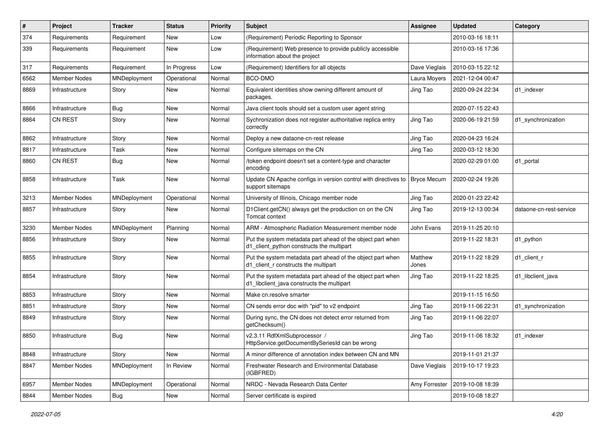| #    | Project             | Tracker      | <b>Status</b> | <b>Priority</b> | <b>Subject</b>                                                                                           | <b>Assignee</b>    | <b>Updated</b>   | Category                |
|------|---------------------|--------------|---------------|-----------------|----------------------------------------------------------------------------------------------------------|--------------------|------------------|-------------------------|
| 374  | Requirements        | Requirement  | New           | Low             | (Requirement) Periodic Reporting to Sponsor                                                              |                    | 2010-03-16 18:11 |                         |
| 339  | Requirements        | Requirement  | New           | Low             | (Requirement) Web presence to provide publicly accessible<br>information about the project               |                    | 2010-03-16 17:36 |                         |
| 317  | Requirements        | Requirement  | In Progress   | Low             | (Requirement) Identifiers for all objects                                                                | Dave Vieglais      | 2010-03-15 22:12 |                         |
| 6562 | <b>Member Nodes</b> | MNDeployment | Operational   | Normal          | BCO-DMO                                                                                                  | Laura Moyers       | 2021-12-04 00:47 |                         |
| 8869 | Infrastructure      | Story        | New           | Normal          | Equivalent identities show owning different amount of<br>packages.                                       | Jing Tao           | 2020-09-24 22:34 | d1 indexer              |
| 8866 | Infrastructure      | <b>Bug</b>   | New           | Normal          | Java client tools should set a custom user agent string                                                  |                    | 2020-07-15 22:43 |                         |
| 8864 | <b>CN REST</b>      | Story        | New           | Normal          | Sychronization does not register authoritative replica entry<br>correctly                                | Jing Tao           | 2020-06-19 21:59 | d1_synchronization      |
| 8862 | Infrastructure      | Story        | New           | Normal          | Deploy a new dataone-cn-rest release                                                                     | Jing Tao           | 2020-04-23 16:24 |                         |
| 8817 | Infrastructure      | Task         | New           | Normal          | Configure sitemaps on the CN                                                                             | Jing Tao           | 2020-03-12 18:30 |                         |
| 8860 | <b>CN REST</b>      | Bug          | New           | Normal          | /token endpoint doesn't set a content-type and character<br>encoding                                     |                    | 2020-02-29 01:00 | d1_portal               |
| 8858 | Infrastructure      | Task         | New           | Normal          | Update CN Apache configs in version control with directives to<br>support sitemaps                       | <b>Bryce Mecum</b> | 2020-02-24 19:26 |                         |
| 3213 | Member Nodes        | MNDeployment | Operational   | Normal          | University of Illinois, Chicago member node                                                              | Jing Tao           | 2020-01-23 22:42 |                         |
| 8857 | Infrastructure      | Story        | New           | Normal          | D1Client.getCN() always get the production cn on the CN<br>Tomcat context                                | Jing Tao           | 2019-12-13 00:34 | dataone-cn-rest-service |
| 3230 | <b>Member Nodes</b> | MNDeployment | Planning      | Normal          | ARM - Atmospheric Radiation Measurement member node                                                      | John Evans         | 2019-11-25 20:10 |                         |
| 8856 | Infrastructure      | Story        | New           | Normal          | Put the system metadata part ahead of the object part when<br>d1_client_python constructs the multipart  |                    | 2019-11-22 18:31 | d1_python               |
| 8855 | Infrastructure      | Story        | New           | Normal          | Put the system metadata part ahead of the object part when<br>d1_client_r constructs the multipart       | Matthew<br>Jones   | 2019-11-22 18:29 | d1 client r             |
| 8854 | Infrastructure      | Story        | New           | Normal          | Put the system metadata part ahead of the object part when<br>d1_libclient_java constructs the multipart | Jing Tao           | 2019-11-22 18:25 | d1 libclient java       |
| 8853 | Infrastructure      | Story        | New           | Normal          | Make cn.resolve smarter                                                                                  |                    | 2019-11-15 16:50 |                         |
| 8851 | Infrastructure      | Story        | New           | Normal          | CN sends error doc with "pid" to v2 endpoint                                                             | Jing Tao           | 2019-11-06 22:31 | d1_synchronization      |
| 8849 | Infrastructure      | Story        | New           | Normal          | During sync, the CN does not detect error returned from<br>getChecksum()                                 | Jing Tao           | 2019-11-06 22:07 |                         |
| 8850 | Infrastructure      | Bug          | New           | Normal          | v2.3.11 RdfXmlSubprocessor /<br>HttpService.getDocumentBySeriesId can be wrong                           | Jing Tao           | 2019-11-06 18:32 | d1 indexer              |
| 8848 | Infrastructure      | Story        | New           | Normal          | A minor difference of annotation index between CN and MN                                                 |                    | 2019-11-01 21:37 |                         |
| 8847 | Member Nodes        | MNDeployment | In Review     | Normal          | Freshwater Research and Environmental Database<br>(IGBFRED)                                              | Dave Vieglais      | 2019-10-17 19:23 |                         |
| 6957 | Member Nodes        | MNDeployment | Operational   | Normal          | NRDC - Nevada Research Data Center                                                                       | Amy Forrester      | 2019-10-08 18:39 |                         |
| 8844 | Member Nodes        | <b>Bug</b>   | New           | Normal          | Server certificate is expired                                                                            |                    | 2019-10-08 18:27 |                         |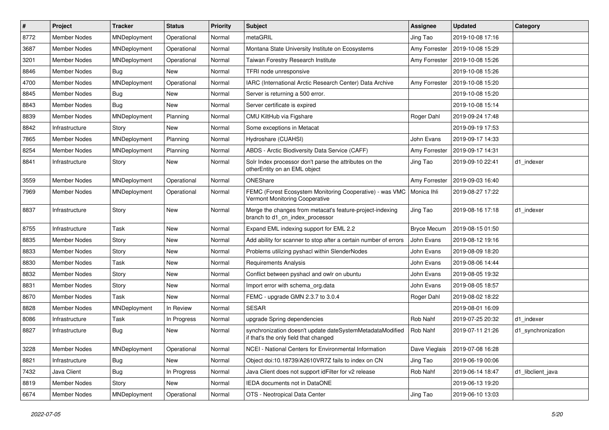| $\vert$ # | Project             | <b>Tracker</b> | <b>Status</b> | <b>Priority</b> | Subject                                                                                            | <b>Assignee</b>    | <b>Updated</b>   | Category           |
|-----------|---------------------|----------------|---------------|-----------------|----------------------------------------------------------------------------------------------------|--------------------|------------------|--------------------|
| 8772      | Member Nodes        | MNDeployment   | Operational   | Normal          | metaGRIL                                                                                           | Jing Tao           | 2019-10-08 17:16 |                    |
| 3687      | Member Nodes        | MNDeployment   | Operational   | Normal          | Montana State University Institute on Ecosystems                                                   | Amy Forrester      | 2019-10-08 15:29 |                    |
| 3201      | Member Nodes        | MNDeployment   | Operational   | Normal          | Taiwan Forestry Research Institute                                                                 | Amy Forrester      | 2019-10-08 15:26 |                    |
| 8846      | <b>Member Nodes</b> | Bug            | New           | Normal          | TFRI node unresponsive                                                                             |                    | 2019-10-08 15:26 |                    |
| 4700      | Member Nodes        | MNDeployment   | Operational   | Normal          | IARC (International Arctic Research Center) Data Archive                                           | Amy Forrester      | 2019-10-08 15:20 |                    |
| 8845      | <b>Member Nodes</b> | Bug            | New           | Normal          | Server is returning a 500 error.                                                                   |                    | 2019-10-08 15:20 |                    |
| 8843      | <b>Member Nodes</b> | Bug            | <b>New</b>    | Normal          | Server certificate is expired                                                                      |                    | 2019-10-08 15:14 |                    |
| 8839      | <b>Member Nodes</b> | MNDeployment   | Planning      | Normal          | CMU KiltHub via Figshare                                                                           | Roger Dahl         | 2019-09-24 17:48 |                    |
| 8842      | Infrastructure      | Story          | New           | Normal          | Some exceptions in Metacat                                                                         |                    | 2019-09-19 17:53 |                    |
| 7865      | <b>Member Nodes</b> | MNDeployment   | Planning      | Normal          | Hydroshare (CUAHSI)                                                                                | John Evans         | 2019-09-17 14:33 |                    |
| 8254      | Member Nodes        | MNDeployment   | Planning      | Normal          | ABDS - Arctic Biodiversity Data Service (CAFF)                                                     | Amy Forrester      | 2019-09-17 14:31 |                    |
| 8841      | Infrastructure      | Story          | New           | Normal          | Solr Index processor don't parse the attributes on the<br>otherEntity on an EML object             | Jing Tao           | 2019-09-10 22:41 | d1_indexer         |
| 3559      | <b>Member Nodes</b> | MNDeployment   | Operational   | Normal          | ONEShare                                                                                           | Amy Forrester      | 2019-09-03 16:40 |                    |
| 7969      | Member Nodes        | MNDeployment   | Operational   | Normal          | FEMC (Forest Ecosystem Monitoring Cooperative) - was VMC<br>Vermont Monitoring Cooperative         | Monica Ihli        | 2019-08-27 17:22 |                    |
| 8837      | Infrastructure      | Story          | New           | Normal          | Merge the changes from metacat's feature-project-indexing<br>branch to d1_cn_index_processor       | Jing Tao           | 2019-08-16 17:18 | d1 indexer         |
| 8755      | Infrastructure      | Task           | New           | Normal          | Expand EML indexing support for EML 2.2                                                            | <b>Bryce Mecum</b> | 2019-08-15 01:50 |                    |
| 8835      | Member Nodes        | Story          | New           | Normal          | Add ability for scanner to stop after a certain number of errors                                   | John Evans         | 2019-08-12 19:16 |                    |
| 8833      | <b>Member Nodes</b> | Story          | New           | Normal          | Problems utilizing pyshacl within SlenderNodes                                                     | John Evans         | 2019-08-09 18:20 |                    |
| 8830      | <b>Member Nodes</b> | Task           | New           | Normal          | <b>Requirements Analysis</b>                                                                       | John Evans         | 2019-08-06 14:44 |                    |
| 8832      | <b>Member Nodes</b> | Story          | New           | Normal          | Conflict between pyshacl and owlr on ubuntu                                                        | John Evans         | 2019-08-05 19:32 |                    |
| 8831      | <b>Member Nodes</b> | Story          | New           | Normal          | Import error with schema_org.data                                                                  | John Evans         | 2019-08-05 18:57 |                    |
| 8670      | <b>Member Nodes</b> | Task           | <b>New</b>    | Normal          | FEMC - upgrade GMN 2.3.7 to 3.0.4                                                                  | Roger Dahl         | 2019-08-02 18:22 |                    |
| 8828      | <b>Member Nodes</b> | MNDeployment   | In Review     | Normal          | <b>SESAR</b>                                                                                       |                    | 2019-08-01 16:09 |                    |
| 8086      | Infrastructure      | Task           | In Progress   | Normal          | upgrade Spring dependencies                                                                        | Rob Nahf           | 2019-07-25 20:32 | d1 indexer         |
| 8827      | Infrastructure      | <b>Bug</b>     | New           | Normal          | synchronization doesn't update dateSystemMetadataModified<br>if that's the only field that changed | Rob Nahf           | 2019-07-11 21:26 | d1_synchronization |
| 3228      | Member Nodes        | MNDeployment   | Operational   | Normal          | NCEI - National Centers for Environmental Information                                              | Dave Vieglais      | 2019-07-08 16:28 |                    |
| 8821      | Infrastructure      | <b>Bug</b>     | New           | Normal          | Object doi:10.18739/A2610VR7Z fails to index on CN                                                 | Jing Tao           | 2019-06-19 00:06 |                    |
| 7432      | Java Client         | <b>Bug</b>     | In Progress   | Normal          | Java Client does not support idFilter for v2 release                                               | Rob Nahf           | 2019-06-14 18:47 | d1 libclient java  |
| 8819      | Member Nodes        | Story          | New           | Normal          | IEDA documents not in DataONE                                                                      |                    | 2019-06-13 19:20 |                    |
| 6674      | Member Nodes        | MNDeployment   | Operational   | Normal          | OTS - Neotropical Data Center                                                                      | Jing Tao           | 2019-06-10 13:03 |                    |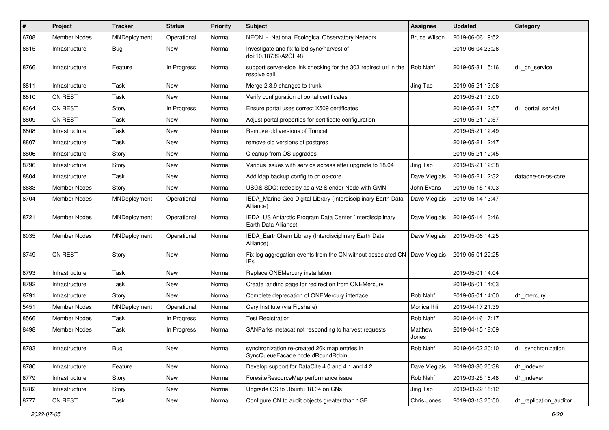| $\sharp$ | Project             | <b>Tracker</b> | <b>Status</b> | <b>Priority</b> | Subject                                                                           | Assignee            | <b>Updated</b>   | Category               |
|----------|---------------------|----------------|---------------|-----------------|-----------------------------------------------------------------------------------|---------------------|------------------|------------------------|
| 6708     | <b>Member Nodes</b> | MNDeployment   | Operational   | Normal          | NEON - National Ecological Observatory Network                                    | <b>Bruce Wilson</b> | 2019-06-06 19:52 |                        |
| 8815     | Infrastructure      | <b>Bug</b>     | New           | Normal          | Investigate and fix failed sync/harvest of<br>doi:10.18739/A2CH48                 |                     | 2019-06-04 23:26 |                        |
| 8766     | Infrastructure      | Feature        | In Progress   | Normal          | support server-side link checking for the 303 redirect url in the<br>resolve call | Rob Nahf            | 2019-05-31 15:16 | d1 cn service          |
| 8811     | Infrastructure      | Task           | New           | Normal          | Merge 2.3.9 changes to trunk                                                      | Jing Tao            | 2019-05-21 13:06 |                        |
| 8810     | CN REST             | Task           | New           | Normal          | Verify configuration of portal certificates                                       |                     | 2019-05-21 13:00 |                        |
| 8364     | <b>CN REST</b>      | Story          | In Progress   | Normal          | Ensure portal uses correct X509 certificates                                      |                     | 2019-05-21 12:57 | d1 portal servlet      |
| 8809     | <b>CN REST</b>      | Task           | New           | Normal          | Adjust portal properties for certificate configuration                            |                     | 2019-05-21 12:57 |                        |
| 8808     | Infrastructure      | Task           | New           | Normal          | Remove old versions of Tomcat                                                     |                     | 2019-05-21 12:49 |                        |
| 8807     | Infrastructure      | Task           | New           | Normal          | remove old versions of postgres                                                   |                     | 2019-05-21 12:47 |                        |
| 8806     | Infrastructure      | Story          | New           | Normal          | Cleanup from OS upgrades                                                          |                     | 2019-05-21 12:45 |                        |
| 8796     | Infrastructure      | Story          | New           | Normal          | Various issues with service access after upgrade to 18.04                         | Jing Tao            | 2019-05-21 12:38 |                        |
| 8804     | Infrastructure      | Task           | New           | Normal          | Add Idap backup config to cn os-core                                              | Dave Vieglais       | 2019-05-21 12:32 | dataone-cn-os-core     |
| 8683     | <b>Member Nodes</b> | Story          | <b>New</b>    | Normal          | USGS SDC: redeploy as a v2 Slender Node with GMN                                  | John Evans          | 2019-05-15 14:03 |                        |
| 8704     | Member Nodes        | MNDeployment   | Operational   | Normal          | IEDA Marine-Geo Digital Library (Interdisciplinary Earth Data<br>Alliance)        | Dave Vieglais       | 2019-05-14 13:47 |                        |
| 8721     | <b>Member Nodes</b> | MNDeployment   | Operational   | Normal          | IEDA_US Antarctic Program Data Center (Interdisciplinary<br>Earth Data Alliance)  | Dave Vieglais       | 2019-05-14 13:46 |                        |
| 8035     | Member Nodes        | MNDeployment   | Operational   | Normal          | IEDA_EarthChem Library (Interdisciplinary Earth Data<br>Alliance)                 | Dave Vieglais       | 2019-05-06 14:25 |                        |
| 8749     | <b>CN REST</b>      | Story          | New           | Normal          | Fix log aggregation events from the CN without associated CN<br><b>IPs</b>        | Dave Vieglais       | 2019-05-01 22:25 |                        |
| 8793     | Infrastructure      | Task           | New           | Normal          | Replace ONEMercury installation                                                   |                     | 2019-05-01 14:04 |                        |
| 8792     | Infrastructure      | Task           | New           | Normal          | Create landing page for redirection from ONEMercury                               |                     | 2019-05-01 14:03 |                        |
| 8791     | Infrastructure      | Story          | New           | Normal          | Complete deprecation of ONEMercury interface                                      | Rob Nahf            | 2019-05-01 14:00 | d1_mercury             |
| 5451     | Member Nodes        | MNDeployment   | Operational   | Normal          | Cary Institute (via Figshare)                                                     | Monica Ihli         | 2019-04-17 21:39 |                        |
| 8566     | Member Nodes        | Task           | In Progress   | Normal          | <b>Test Registration</b>                                                          | Rob Nahf            | 2019-04-16 17:17 |                        |
| 8498     | <b>Member Nodes</b> | Task           | In Progress   | Normal          | SANParks metacat not responding to harvest requests                               | Matthew<br>Jones    | 2019-04-15 18:09 |                        |
| 8783     | Infrastructure      | <b>Bug</b>     | New           | Normal          | synchronization re-created 26k map entries in<br>SyncQueueFacade.nodeIdRoundRobin | Rob Nahf            | 2019-04-02 20:10 | d1_synchronization     |
| 8780     | Infrastructure      | Feature        | New           | Normal          | Develop support for DataCite 4.0 and 4.1 and 4.2                                  | Dave Vieglais       | 2019-03-30 20:38 | d1_indexer             |
| 8779     | Infrastructure      | Story          | New           | Normal          | ForesiteResourceMap performance issue                                             | Rob Nahf            | 2019-03-25 18:48 | d1_indexer             |
| 8782     | Infrastructure      | Story          | New           | Normal          | Upgrade OS to Ubuntu 18.04 on CNs                                                 | Jing Tao            | 2019-03-22 18:12 |                        |
| 8777     | CN REST             | Task           | New           | Normal          | Configure CN to audit objects greater than 1GB                                    | Chris Jones         | 2019-03-13 20:50 | d1_replication_auditor |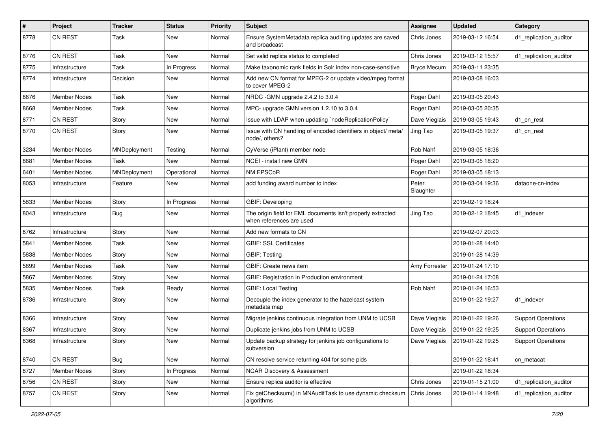| $\pmb{\#}$ | Project             | <b>Tracker</b> | <b>Status</b> | <b>Priority</b> | Subject                                                                                 | <b>Assignee</b>    | <b>Updated</b>   | Category                  |
|------------|---------------------|----------------|---------------|-----------------|-----------------------------------------------------------------------------------------|--------------------|------------------|---------------------------|
| 8778       | <b>CN REST</b>      | Task           | New           | Normal          | Ensure SystemMetadata replica auditing updates are saved<br>and broadcast               | Chris Jones        | 2019-03-12 16:54 | d1_replication_auditor    |
| 8776       | CN REST             | Task           | New           | Normal          | Set valid replica status to completed                                                   | Chris Jones        | 2019-03-12 15:57 | d1 replication auditor    |
| 8775       | Infrastructure      | Task           | In Progress   | Normal          | Make taxonomic rank fields in Solr index non-case-sensitive                             | <b>Bryce Mecum</b> | 2019-03-11 23:35 |                           |
| 8774       | Infrastructure      | Decision       | New           | Normal          | Add new CN format for MPEG-2 or update video/mpeg format<br>to cover MPEG-2             |                    | 2019-03-08 16:03 |                           |
| 8676       | <b>Member Nodes</b> | Task           | New           | Normal          | NRDC -GMN upgrade 2.4.2 to 3.0.4                                                        | Roger Dahl         | 2019-03-05 20:43 |                           |
| 8668       | <b>Member Nodes</b> | Task           | New           | Normal          | MPC- upgrade GMN version 1.2.10 to 3.0.4                                                | Roger Dahl         | 2019-03-05 20:35 |                           |
| 8771       | <b>CN REST</b>      | Story          | New           | Normal          | Issue with LDAP when updating `nodeReplicationPolicy`                                   | Dave Vieglais      | 2019-03-05 19:43 | d1 cn rest                |
| 8770       | CN REST             | Story          | New           | Normal          | Issue with CN handling of encoded identifiers in object/ meta/<br>node/, others?        | Jing Tao           | 2019-03-05 19:37 | d1_cn_rest                |
| 3234       | <b>Member Nodes</b> | MNDeployment   | Testing       | Normal          | CyVerse (iPlant) member node                                                            | Rob Nahf           | 2019-03-05 18:36 |                           |
| 8681       | <b>Member Nodes</b> | Task           | New           | Normal          | NCEI - install new GMN                                                                  | Roger Dahl         | 2019-03-05 18:20 |                           |
| 6401       | Member Nodes        | MNDeployment   | Operational   | Normal          | NM EPSCoR                                                                               | Roger Dahl         | 2019-03-05 18:13 |                           |
| 8053       | Infrastructure      | Feature        | New           | Normal          | add funding award number to index                                                       | Peter<br>Slaughter | 2019-03-04 19:36 | dataone-cn-index          |
| 5833       | <b>Member Nodes</b> | Story          | In Progress   | Normal          | GBIF: Developing                                                                        |                    | 2019-02-19 18:24 |                           |
| 8043       | Infrastructure      | Bug            | New           | Normal          | The origin field for EML documents isn't properly extracted<br>when references are used | Jing Tao           | 2019-02-12 18:45 | d1 indexer                |
| 8762       | Infrastructure      | Story          | New           | Normal          | Add new formats to CN                                                                   |                    | 2019-02-07 20:03 |                           |
| 5841       | Member Nodes        | Task           | New           | Normal          | <b>GBIF: SSL Certificates</b>                                                           |                    | 2019-01-28 14:40 |                           |
| 5838       | <b>Member Nodes</b> | Story          | New           | Normal          | <b>GBIF: Testing</b>                                                                    |                    | 2019-01-28 14:39 |                           |
| 5899       | <b>Member Nodes</b> | Task           | New           | Normal          | GBIF: Create news item                                                                  | Amy Forrester      | 2019-01-24 17:10 |                           |
| 5867       | Member Nodes        | Story          | New           | Normal          | GBIF: Registration in Production environment                                            |                    | 2019-01-24 17:08 |                           |
| 5835       | <b>Member Nodes</b> | Task           | Ready         | Normal          | <b>GBIF: Local Testing</b>                                                              | Rob Nahf           | 2019-01-24 16:53 |                           |
| 8736       | Infrastructure      | Story          | New           | Normal          | Decouple the index generator to the hazelcast system<br>metadata map                    |                    | 2019-01-22 19:27 | d1 indexer                |
| 8366       | Infrastructure      | Story          | New           | Normal          | Migrate jenkins continuous integration from UNM to UCSB                                 | Dave Vieglais      | 2019-01-22 19:26 | <b>Support Operations</b> |
| 8367       | Infrastructure      | Story          | New           | Normal          | Duplicate jenkins jobs from UNM to UCSB                                                 | Dave Vieglais      | 2019-01-22 19:25 | <b>Support Operations</b> |
| 8368       | Infrastructure      | Story          | New           | Normal          | Update backup strategy for jenkins job configurations to<br>subversion                  | Dave Vieglais      | 2019-01-22 19:25 | <b>Support Operations</b> |
| 8740       | CN REST             | <b>Bug</b>     | New           | Normal          | CN resolve service returning 404 for some pids                                          |                    | 2019-01-22 18:41 | cn metacat                |
| 8727       | Member Nodes        | Story          | In Progress   | Normal          | <b>NCAR Discovery &amp; Assessment</b>                                                  |                    | 2019-01-22 18:34 |                           |
| 8756       | CN REST             | Story          | New           | Normal          | Ensure replica auditor is effective                                                     | Chris Jones        | 2019-01-15 21:00 | d1_replication_auditor    |
| 8757       | CN REST             | Story          | New           | Normal          | Fix getChecksum() in MNAuditTask to use dynamic checksum<br>algorithms                  | Chris Jones        | 2019-01-14 19:48 | d1_replication_auditor    |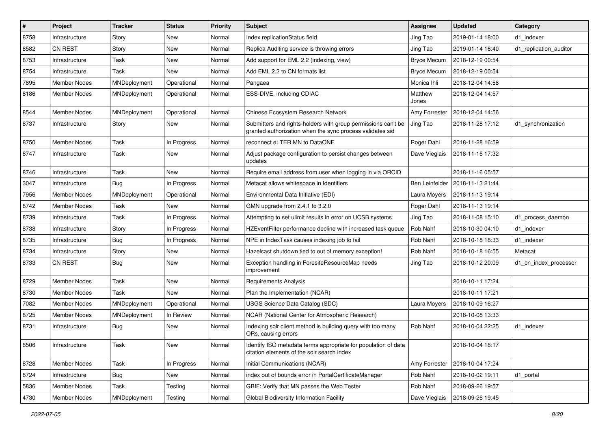| #    | Project             | <b>Tracker</b> | <b>Status</b> | Priority | Subject                                                                                                                    | <b>Assignee</b>    | <b>Updated</b>   | Category               |
|------|---------------------|----------------|---------------|----------|----------------------------------------------------------------------------------------------------------------------------|--------------------|------------------|------------------------|
| 8758 | Infrastructure      | Story          | New           | Normal   | Index replicationStatus field                                                                                              | Jing Tao           | 2019-01-14 18:00 | d1 indexer             |
| 8582 | CN REST             | Story          | <b>New</b>    | Normal   | Replica Auditing service is throwing errors                                                                                | Jing Tao           | 2019-01-14 16:40 | d1 replication auditor |
| 8753 | Infrastructure      | Task           | New           | Normal   | Add support for EML 2.2 (indexing, view)                                                                                   | <b>Bryce Mecum</b> | 2018-12-19 00:54 |                        |
| 8754 | Infrastructure      | Task           | New           | Normal   | Add EML 2.2 to CN formats list                                                                                             | <b>Bryce Mecum</b> | 2018-12-19 00:54 |                        |
| 7895 | Member Nodes        | MNDeployment   | Operational   | Normal   | Pangaea                                                                                                                    | Monica Ihli        | 2018-12-04 14:58 |                        |
| 8186 | Member Nodes        | MNDeployment   | Operational   | Normal   | ESS-DIVE, including CDIAC                                                                                                  | Matthew<br>Jones   | 2018-12-04 14:57 |                        |
| 8544 | <b>Member Nodes</b> | MNDeployment   | Operational   | Normal   | Chinese Ecosystem Research Network                                                                                         | Amy Forrester      | 2018-12-04 14:56 |                        |
| 8737 | Infrastructure      | Story          | New           | Normal   | Submitters and rights-holders with group permissions can't be<br>granted authorization when the sync process validates sid | Jing Tao           | 2018-11-28 17:12 | d1_synchronization     |
| 8750 | Member Nodes        | Task           | In Progress   | Normal   | reconnect eLTER MN to DataONE                                                                                              | Roger Dahl         | 2018-11-28 16:59 |                        |
| 8747 | Infrastructure      | Task           | New           | Normal   | Adjust package configuration to persist changes between<br>updates                                                         | Dave Vieglais      | 2018-11-16 17:32 |                        |
| 8746 | Infrastructure      | Task           | New           | Normal   | Require email address from user when logging in via ORCID                                                                  |                    | 2018-11-16 05:57 |                        |
| 3047 | Infrastructure      | <b>Bug</b>     | In Progress   | Normal   | Metacat allows whitespace in Identifiers                                                                                   | Ben Leinfelder     | 2018-11-13 21:44 |                        |
| 7956 | Member Nodes        | MNDeployment   | Operational   | Normal   | Environmental Data Initiative (EDI)                                                                                        | Laura Moyers       | 2018-11-13 19:14 |                        |
| 8742 | Member Nodes        | Task           | New           | Normal   | GMN upgrade from 2.4.1 to 3.2.0                                                                                            | Roger Dahl         | 2018-11-13 19:14 |                        |
| 8739 | Infrastructure      | Task           | In Progress   | Normal   | Attempting to set ulimit results in error on UCSB systems                                                                  | Jing Tao           | 2018-11-08 15:10 | d1_process_daemon      |
| 8738 | Infrastructure      | Story          | In Progress   | Normal   | HZEventFilter performance decline with increased task queue                                                                | Rob Nahf           | 2018-10-30 04:10 | d1 indexer             |
| 8735 | Infrastructure      | <b>Bug</b>     | In Progress   | Normal   | NPE in IndexTask causes indexing job to fail                                                                               | Rob Nahf           | 2018-10-18 18:33 | d1 indexer             |
| 8734 | Infrastructure      | Story          | New           | Normal   | Hazelcast shutdown tied to out of memory exception!                                                                        | Rob Nahf           | 2018-10-18 16:55 | Metacat                |
| 8733 | <b>CN REST</b>      | <b>Bug</b>     | New           | Normal   | Exception handling in ForesiteResourceMap needs<br>improvement                                                             | Jing Tao           | 2018-10-12 20:09 | d1_cn_index_processor  |
| 8729 | <b>Member Nodes</b> | Task           | New           | Normal   | <b>Requirements Analysis</b>                                                                                               |                    | 2018-10-11 17:24 |                        |
| 8730 | <b>Member Nodes</b> | Task           | New           | Normal   | Plan the Implementation (NCAR)                                                                                             |                    | 2018-10-11 17:21 |                        |
| 7082 | <b>Member Nodes</b> | MNDeployment   | Operational   | Normal   | USGS Science Data Catalog (SDC)                                                                                            | Laura Moyers       | 2018-10-09 16:27 |                        |
| 8725 | Member Nodes        | MNDeployment   | In Review     | Normal   | NCAR (National Center for Atmospheric Research)                                                                            |                    | 2018-10-08 13:33 |                        |
| 8731 | Infrastructure      | Bug            | New           | Normal   | Indexing solr client method is building query with too many<br>ORs, causing errors                                         | Rob Nahf           | 2018-10-04 22:25 | d1 indexer             |
| 8506 | Infrastructure      | Task           | New           | Normal   | Identify ISO metadata terms appropriate for population of data<br>citation elements of the solr search index               |                    | 2018-10-04 18:17 |                        |
| 8728 | <b>Member Nodes</b> | Task           | In Progress   | Normal   | Initial Communications (NCAR)                                                                                              | Amy Forrester      | 2018-10-04 17:24 |                        |
| 8724 | Infrastructure      | <b>Bug</b>     | New           | Normal   | index out of bounds error in PortalCertificateManager                                                                      | Rob Nahf           | 2018-10-02 19:11 | d1_portal              |
| 5836 | Member Nodes        | Task           | Testing       | Normal   | GBIF: Verify that MN passes the Web Tester                                                                                 | Rob Nahf           | 2018-09-26 19:57 |                        |
| 4730 | Member Nodes        | MNDeployment   | Testing       | Normal   | Global Biodiversity Information Facility                                                                                   | Dave Vieglais      | 2018-09-26 19:45 |                        |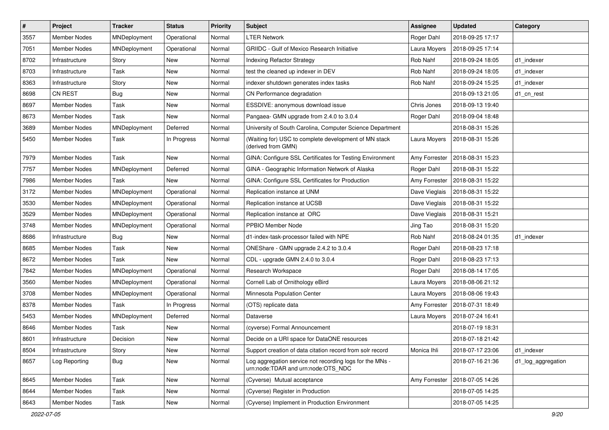| #    | Project             | Tracker      | <b>Status</b> | Priority | <b>Subject</b>                                                                                 | Assignee      | <b>Updated</b>   | Category           |
|------|---------------------|--------------|---------------|----------|------------------------------------------------------------------------------------------------|---------------|------------------|--------------------|
| 3557 | <b>Member Nodes</b> | MNDeployment | Operational   | Normal   | <b>LTER Network</b>                                                                            | Roger Dahl    | 2018-09-25 17:17 |                    |
| 7051 | <b>Member Nodes</b> | MNDeployment | Operational   | Normal   | <b>GRIIDC</b> - Gulf of Mexico Research Initiative                                             | Laura Moyers  | 2018-09-25 17:14 |                    |
| 8702 | Infrastructure      | Story        | New           | Normal   | Indexing Refactor Strategy                                                                     | Rob Nahf      | 2018-09-24 18:05 | d1 indexer         |
| 8703 | Infrastructure      | Task         | New           | Normal   | test the cleaned up indexer in DEV                                                             | Rob Nahf      | 2018-09-24 18:05 | d1 indexer         |
| 8363 | Infrastructure      | Story        | New           | Normal   | indexer shutdown generates index tasks                                                         | Rob Nahf      | 2018-09-24 15:25 | d1_indexer         |
| 8698 | CN REST             | Bug          | New           | Normal   | CN Performance degradation                                                                     |               | 2018-09-13 21:05 | d1 cn rest         |
| 8697 | <b>Member Nodes</b> | Task         | New           | Normal   | ESSDIVE: anonymous download issue                                                              | Chris Jones   | 2018-09-13 19:40 |                    |
| 8673 | Member Nodes        | Task         | New           | Normal   | Pangaea- GMN upgrade from 2.4.0 to 3.0.4                                                       | Roger Dahl    | 2018-09-04 18:48 |                    |
| 3689 | Member Nodes        | MNDeployment | Deferred      | Normal   | University of South Carolina, Computer Science Department                                      |               | 2018-08-31 15:26 |                    |
| 5450 | Member Nodes        | Task         | In Progress   | Normal   | (Waiting for) USC to complete development of MN stack<br>(derived from GMN)                    | Laura Moyers  | 2018-08-31 15:26 |                    |
| 7979 | <b>Member Nodes</b> | Task         | New           | Normal   | GINA: Configure SSL Certificates for Testing Environment                                       | Amy Forrester | 2018-08-31 15:23 |                    |
| 7757 | Member Nodes        | MNDeployment | Deferred      | Normal   | GINA - Geographic Information Network of Alaska                                                | Roger Dahl    | 2018-08-31 15:22 |                    |
| 7986 | Member Nodes        | Task         | New           | Normal   | GINA: Configure SSL Certificates for Production                                                | Amy Forrester | 2018-08-31 15:22 |                    |
| 3172 | <b>Member Nodes</b> | MNDeployment | Operational   | Normal   | Replication instance at UNM                                                                    | Dave Vieglais | 2018-08-31 15:22 |                    |
| 3530 | Member Nodes        | MNDeployment | Operational   | Normal   | Replication instance at UCSB                                                                   | Dave Vieglais | 2018-08-31 15:22 |                    |
| 3529 | Member Nodes        | MNDeployment | Operational   | Normal   | Replication instance at ORC                                                                    | Dave Vieglais | 2018-08-31 15:21 |                    |
| 3748 | <b>Member Nodes</b> | MNDeployment | Operational   | Normal   | PPBIO Member Node                                                                              | Jing Tao      | 2018-08-31 15:20 |                    |
| 8686 | Infrastructure      | <b>Bug</b>   | New           | Normal   | d1-index-task-processor failed with NPE                                                        | Rob Nahf      | 2018-08-24 01:35 | d1 indexer         |
| 8685 | Member Nodes        | Task         | New           | Normal   | ONEShare - GMN upgrade 2.4.2 to 3.0.4                                                          | Roger Dahl    | 2018-08-23 17:18 |                    |
| 8672 | Member Nodes        | Task         | New           | Normal   | CDL - upgrade GMN 2.4.0 to 3.0.4                                                               | Roger Dahl    | 2018-08-23 17:13 |                    |
| 7842 | <b>Member Nodes</b> | MNDeployment | Operational   | Normal   | Research Workspace                                                                             | Roger Dahl    | 2018-08-14 17:05 |                    |
| 3560 | <b>Member Nodes</b> | MNDeployment | Operational   | Normal   | Cornell Lab of Ornithology eBird                                                               | Laura Moyers  | 2018-08-06 21:12 |                    |
| 3708 | <b>Member Nodes</b> | MNDeployment | Operational   | Normal   | Minnesota Population Center                                                                    | Laura Moyers  | 2018-08-06 19:43 |                    |
| 8378 | Member Nodes        | Task         | In Progress   | Normal   | (OTS) replicate data                                                                           | Amy Forrester | 2018-07-31 18:49 |                    |
| 5453 | Member Nodes        | MNDeployment | Deferred      | Normal   | Dataverse                                                                                      | Laura Moyers  | 2018-07-24 16:41 |                    |
| 8646 | Member Nodes        | Task         | New           | Normal   | (cyverse) Formal Announcement                                                                  |               | 2018-07-19 18:31 |                    |
| 8601 | Infrastructure      | Decision     | New           | Normal   | Decide on a URI space for DataONE resources                                                    |               | 2018-07-18 21:42 |                    |
| 8504 | Infrastructure      | Story        | New           | Normal   | Support creation of data citation record from solr record                                      | Monica Ihli   | 2018-07-17 23:06 | d1_indexer         |
| 8657 | Log Reporting       | <b>Bug</b>   | New           | Normal   | Log aggregation service not recording logs for the MNs -<br>urn:node:TDAR and urn:node:OTS NDC |               | 2018-07-16 21:36 | d1_log_aggregation |
| 8645 | Member Nodes        | Task         | New           | Normal   | (Cyverse) Mutual acceptance                                                                    | Amy Forrester | 2018-07-05 14:26 |                    |
| 8644 | Member Nodes        | Task         | New           | Normal   | (Cyverse) Register in Production                                                               |               | 2018-07-05 14:25 |                    |
| 8643 | Member Nodes        | Task         | New           | Normal   | (Cyverse) Implement in Production Environment                                                  |               | 2018-07-05 14:25 |                    |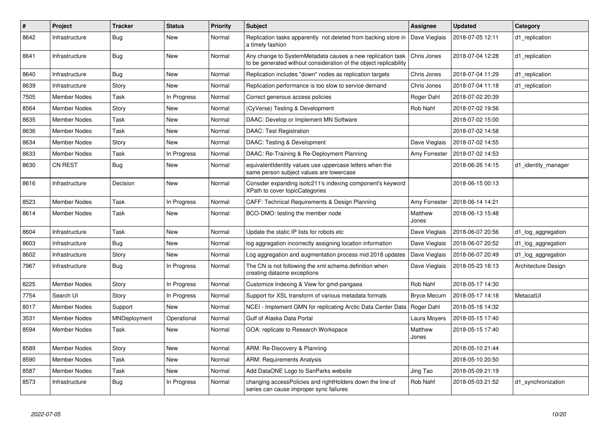| #    | Project             | <b>Tracker</b> | <b>Status</b> | <b>Priority</b> | <b>Subject</b>                                                                                                                  | Assignee           | <b>Updated</b>   | Category            |
|------|---------------------|----------------|---------------|-----------------|---------------------------------------------------------------------------------------------------------------------------------|--------------------|------------------|---------------------|
| 8642 | Infrastructure      | Bug            | New           | Normal          | Replication tasks apparently not deleted from backing store in<br>a timely fashion                                              | Dave Vieglais      | 2018-07-05 12:11 | d1_replication      |
| 8641 | Infrastructure      | <b>Bug</b>     | New           | Normal          | Any change to SystemMetadata causes a new replication task<br>to be generated without consideration of the object replicability | Chris Jones        | 2018-07-04 12:28 | d1 replication      |
| 8640 | Infrastructure      | <b>Bug</b>     | New           | Normal          | Replication includes "down" nodes as replication targets                                                                        | Chris Jones        | 2018-07-04 11:29 | d1 replication      |
| 8639 | Infrastructure      | Story          | New           | Normal          | Replication performance is too slow to service demand                                                                           | Chris Jones        | 2018-07-04 11:18 | d1 replication      |
| 7505 | <b>Member Nodes</b> | Task           | In Progress   | Normal          | Correct generous access policies                                                                                                | Roger Dahl         | 2018-07-02 20:39 |                     |
| 8564 | Member Nodes        | Story          | New           | Normal          | (CyVerse) Testing & Development                                                                                                 | Rob Nahf           | 2018-07-02 19:56 |                     |
| 8635 | <b>Member Nodes</b> | Task           | New           | Normal          | DAAC: Develop or Implement MN Software                                                                                          |                    | 2018-07-02 15:00 |                     |
| 8636 | Member Nodes        | Task           | New           | Normal          | <b>DAAC: Test Registration</b>                                                                                                  |                    | 2018-07-02 14:58 |                     |
| 8634 | <b>Member Nodes</b> | Story          | New           | Normal          | DAAC: Testing & Development                                                                                                     | Dave Vieglais      | 2018-07-02 14:55 |                     |
| 8633 | Member Nodes        | Task           | In Progress   | Normal          | DAAC: Re-Training & Re-Deployment Planning                                                                                      | Amy Forrester      | 2018-07-02 14:53 |                     |
| 8630 | <b>CN REST</b>      | Bug            | New           | Normal          | equivalentIdentity values use uppercase letters when the<br>same person subject values are lowercase                            |                    | 2018-06-26 14:15 | d1 identity manager |
| 8616 | Infrastructure      | Decision       | New           | Normal          | Consider expanding isotc211's indexing component's keyword<br>XPath to cover topicCategories                                    |                    | 2018-06-15 00:13 |                     |
| 8523 | <b>Member Nodes</b> | Task           | In Progress   | Normal          | CAFF: Technical Requirements & Design Planning                                                                                  | Amy Forrester      | 2018-06-14 14:21 |                     |
| 8614 | <b>Member Nodes</b> | Task           | New           | Normal          | BCO-DMO: testing the member node                                                                                                | Matthew<br>Jones   | 2018-06-13 15:48 |                     |
| 8604 | Infrastructure      | Task           | New           | Normal          | Update the static IP lists for robots etc                                                                                       | Dave Vieglais      | 2018-06-07 20:56 | d1_log_aggregation  |
| 8603 | Infrastructure      | <b>Bug</b>     | New           | Normal          | log aggregation incorrectly assigning location information                                                                      | Dave Vieglais      | 2018-06-07 20:52 | d1_log_aggregation  |
| 8602 | Infrastructure      | Story          | <b>New</b>    | Normal          | Log aggregation and augmentation process mid 2018 updates                                                                       | Dave Vieglais      | 2018-06-07 20:49 | d1_log_aggregation  |
| 7967 | Infrastructure      | Bug            | In Progress   | Normal          | The CN is not following the xml schema definition when<br>creating dataone exceptions                                           | Dave Vieglais      | 2018-05-23 18:13 | Architecture Design |
| 8225 | Member Nodes        | Story          | In Progress   | Normal          | Customize Indexing & View for gmd-pangaea                                                                                       | Rob Nahf           | 2018-05-17 14:30 |                     |
| 7754 | Search UI           | Story          | In Progress   | Normal          | Support for XSL transform of various metadata formats                                                                           | <b>Bryce Mecum</b> | 2018-05-17 14:18 | MetacatUI           |
| 8017 | Member Nodes        | Support        | New           | Normal          | NCEI - Implement GMN for replicating Arctic Data Center Data                                                                    | Roger Dahl         | 2018-05-16 14:32 |                     |
| 3531 | <b>Member Nodes</b> | MNDeployment   | Operational   | Normal          | Gulf of Alaska Data Portal                                                                                                      | Laura Moyers       | 2018-05-15 17:40 |                     |
| 8594 | Member Nodes        | Task           | New           | Normal          | GOA: replicate to Research Workspace                                                                                            | Matthew<br>Jones   | 2018-05-15 17:40 |                     |
| 8589 | <b>Member Nodes</b> | Story          | New           | Normal          | ARM: Re-Discovery & Planning                                                                                                    |                    | 2018-05-10 21:44 |                     |
| 8590 | Member Nodes        | Task           | <b>New</b>    | Normal          | <b>ARM: Requirements Analysis</b>                                                                                               |                    | 2018-05-10 20:50 |                     |
| 8587 | Member Nodes        | Task           | New           | Normal          | Add DataONE Logo to SanParks website                                                                                            | Jing Tao           | 2018-05-09 21:19 |                     |
| 8573 | Infrastructure      | <b>Bug</b>     | In Progress   | Normal          | changing accessPolicies and rightHolders down the line of<br>series can cause improper sync failures                            | Rob Nahf           | 2018-05-03 21:52 | d1_synchronization  |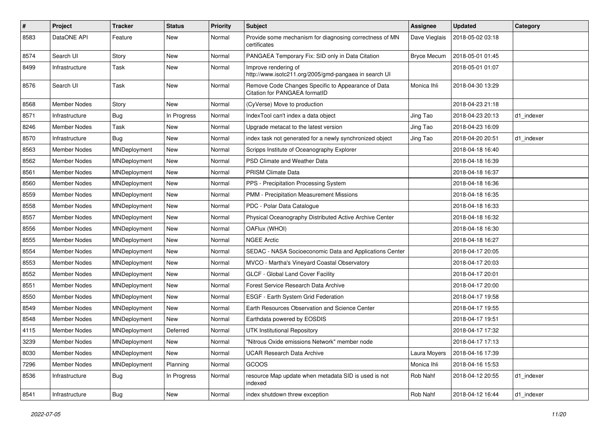| #    | Project             | <b>Tracker</b> | <b>Status</b> | <b>Priority</b> | Subject                                                                             | <b>Assignee</b>    | <b>Updated</b>   | Category   |
|------|---------------------|----------------|---------------|-----------------|-------------------------------------------------------------------------------------|--------------------|------------------|------------|
| 8583 | DataONE API         | Feature        | New           | Normal          | Provide some mechanism for diagnosing correctness of MN<br>certificates             | Dave Vieglais      | 2018-05-02 03:18 |            |
| 8574 | Search UI           | Story          | New           | Normal          | PANGAEA Temporary Fix: SID only in Data Citation                                    | <b>Bryce Mecum</b> | 2018-05-01 01:45 |            |
| 8499 | Infrastructure      | Task           | New           | Normal          | Improve rendering of<br>http://www.isotc211.org/2005/gmd-pangaea in search UI       |                    | 2018-05-01 01:07 |            |
| 8576 | Search UI           | Task           | New           | Normal          | Remove Code Changes Specific to Appearance of Data<br>Citation for PANGAEA formatID | Monica Ihli        | 2018-04-30 13:29 |            |
| 8568 | <b>Member Nodes</b> | Story          | New           | Normal          | (CyVerse) Move to production                                                        |                    | 2018-04-23 21:18 |            |
| 8571 | Infrastructure      | <b>Bug</b>     | In Progress   | Normal          | IndexTool can't index a data object                                                 | Jing Tao           | 2018-04-23 20:13 | d1_indexer |
| 8246 | <b>Member Nodes</b> | Task           | <b>New</b>    | Normal          | Upgrade metacat to the latest version                                               | Jing Tao           | 2018-04-23 16:09 |            |
| 8570 | Infrastructure      | <b>Bug</b>     | New           | Normal          | index task not generated for a newly synchronized object                            | Jing Tao           | 2018-04-20 20:51 | d1 indexer |
| 8563 | Member Nodes        | MNDeployment   | New           | Normal          | Scripps Institute of Oceanography Explorer                                          |                    | 2018-04-18 16:40 |            |
| 8562 | <b>Member Nodes</b> | MNDeployment   | New           | Normal          | PSD Climate and Weather Data                                                        |                    | 2018-04-18 16:39 |            |
| 8561 | <b>Member Nodes</b> | MNDeployment   | New           | Normal          | <b>PRISM Climate Data</b>                                                           |                    | 2018-04-18 16:37 |            |
| 8560 | <b>Member Nodes</b> | MNDeployment   | <b>New</b>    | Normal          | PPS - Precipitation Processing System                                               |                    | 2018-04-18 16:36 |            |
| 8559 | Member Nodes        | MNDeployment   | New           | Normal          | PMM - Precipitation Measurement Missions                                            |                    | 2018-04-18 16:35 |            |
| 8558 | Member Nodes        | MNDeployment   | New           | Normal          | PDC - Polar Data Catalogue                                                          |                    | 2018-04-18 16:33 |            |
| 8557 | <b>Member Nodes</b> | MNDeployment   | New           | Normal          | Physical Oceanography Distributed Active Archive Center                             |                    | 2018-04-18 16:32 |            |
| 8556 | <b>Member Nodes</b> | MNDeployment   | New           | Normal          | OAFlux (WHOI)                                                                       |                    | 2018-04-18 16:30 |            |
| 8555 | Member Nodes        | MNDeployment   | <b>New</b>    | Normal          | <b>NGEE Arctic</b>                                                                  |                    | 2018-04-18 16:27 |            |
| 8554 | Member Nodes        | MNDeployment   | New           | Normal          | SEDAC - NASA Socioeconomic Data and Applications Center                             |                    | 2018-04-17 20:05 |            |
| 8553 | <b>Member Nodes</b> | MNDeployment   | New           | Normal          | MVCO - Martha's Vineyard Coastal Observatory                                        |                    | 2018-04-17 20:03 |            |
| 8552 | <b>Member Nodes</b> | MNDeployment   | New           | Normal          | GLCF - Global Land Cover Facility                                                   |                    | 2018-04-17 20:01 |            |
| 8551 | <b>Member Nodes</b> | MNDeployment   | New           | Normal          | Forest Service Research Data Archive                                                |                    | 2018-04-17 20:00 |            |
| 8550 | Member Nodes        | MNDeployment   | <b>New</b>    | Normal          | ESGF - Earth System Grid Federation                                                 |                    | 2018-04-17 19:58 |            |
| 8549 | Member Nodes        | MNDeployment   | New           | Normal          | Earth Resources Observation and Science Center                                      |                    | 2018-04-17 19:55 |            |
| 8548 | <b>Member Nodes</b> | MNDeployment   | <b>New</b>    | Normal          | Earthdata powered by EOSDIS                                                         |                    | 2018-04-17 19:51 |            |
| 4115 | <b>Member Nodes</b> | MNDeployment   | Deferred      | Normal          | <b>UTK Institutional Repository</b>                                                 |                    | 2018-04-17 17:32 |            |
| 3239 | Member Nodes        | MNDeployment   | New           | Normal          | "Nitrous Oxide emissions Network" member node                                       |                    | 2018-04-17 17:13 |            |
| 8030 | Member Nodes        | MNDeployment   | New           | Normal          | <b>UCAR Research Data Archive</b>                                                   | Laura Moyers       | 2018-04-16 17:39 |            |
| 7296 | Member Nodes        | MNDeployment   | Planning      | Normal          | GCOOS                                                                               | Monica Ihli        | 2018-04-16 15:53 |            |
| 8536 | Infrastructure      | <b>Bug</b>     | In Progress   | Normal          | resource Map update when metadata SID is used is not<br>indexed                     | Rob Nahf           | 2018-04-12 20:55 | d1_indexer |
| 8541 | Infrastructure      | <b>Bug</b>     | New           | Normal          | index shutdown threw exception                                                      | Rob Nahf           | 2018-04-12 16:44 | d1_indexer |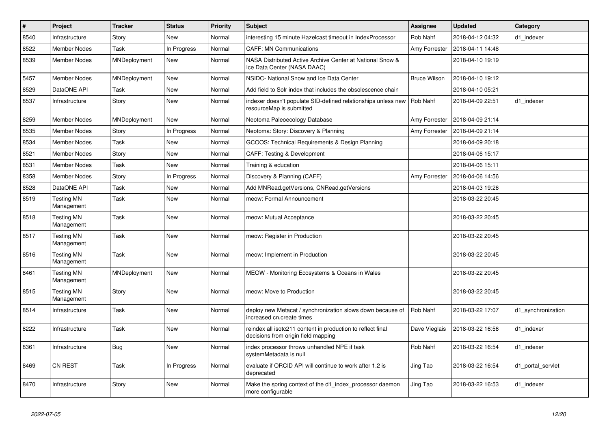| $\vert$ # | Project                         | <b>Tracker</b> | <b>Status</b> | <b>Priority</b> | <b>Subject</b>                                                                                     | <b>Assignee</b>     | <b>Updated</b>   | Category           |
|-----------|---------------------------------|----------------|---------------|-----------------|----------------------------------------------------------------------------------------------------|---------------------|------------------|--------------------|
| 8540      | Infrastructure                  | Story          | New           | Normal          | interesting 15 minute Hazelcast timeout in IndexProcessor                                          | Rob Nahf            | 2018-04-12 04:32 | d1 indexer         |
| 8522      | Member Nodes                    | Task           | In Progress   | Normal          | <b>CAFF: MN Communications</b>                                                                     | Amy Forrester       | 2018-04-11 14:48 |                    |
| 8539      | <b>Member Nodes</b>             | MNDeployment   | New           | Normal          | NASA Distributed Active Archive Center at National Snow &<br>Ice Data Center (NASA DAAC)           |                     | 2018-04-10 19:19 |                    |
| 5457      | Member Nodes                    | MNDeployment   | New           | Normal          | NSIDC- National Snow and Ice Data Center                                                           | <b>Bruce Wilson</b> | 2018-04-10 19:12 |                    |
| 8529      | DataONE API                     | Task           | New           | Normal          | Add field to Solr index that includes the obsolescence chain                                       |                     | 2018-04-10 05:21 |                    |
| 8537      | Infrastructure                  | Story          | <b>New</b>    | Normal          | indexer doesn't populate SID-defined relationships unless new<br>resourceMap is submitted          | Rob Nahf            | 2018-04-09 22:51 | d1 indexer         |
| 8259      | Member Nodes                    | MNDeployment   | <b>New</b>    | Normal          | Neotoma Paleoecology Database                                                                      | Amy Forrester       | 2018-04-09 21:14 |                    |
| 8535      | <b>Member Nodes</b>             | Story          | In Progress   | Normal          | Neotoma: Story: Discovery & Planning                                                               | Amy Forrester       | 2018-04-09 21:14 |                    |
| 8534      | <b>Member Nodes</b>             | Task           | New           | Normal          | GCOOS: Technical Requirements & Design Planning                                                    |                     | 2018-04-09 20:18 |                    |
| 8521      | <b>Member Nodes</b>             | Story          | <b>New</b>    | Normal          | CAFF: Testing & Development                                                                        |                     | 2018-04-06 15:17 |                    |
| 8531      | <b>Member Nodes</b>             | Task           | <b>New</b>    | Normal          | Training & education                                                                               |                     | 2018-04-06 15:11 |                    |
| 8358      | Member Nodes                    | Story          | In Progress   | Normal          | Discovery & Planning (CAFF)                                                                        | Amy Forrester       | 2018-04-06 14:56 |                    |
| 8528      | DataONE API                     | Task           | New           | Normal          | Add MNRead.getVersions, CNRead.getVersions                                                         |                     | 2018-04-03 19:26 |                    |
| 8519      | <b>Testing MN</b><br>Management | Task           | New           | Normal          | meow: Formal Announcement                                                                          |                     | 2018-03-22 20:45 |                    |
| 8518      | <b>Testing MN</b><br>Management | Task           | New           | Normal          | meow: Mutual Acceptance                                                                            |                     | 2018-03-22 20:45 |                    |
| 8517      | Testing MN<br>Management        | Task           | New           | Normal          | meow: Register in Production                                                                       |                     | 2018-03-22 20:45 |                    |
| 8516      | <b>Testing MN</b><br>Management | Task           | New           | Normal          | meow: Implement in Production                                                                      |                     | 2018-03-22 20:45 |                    |
| 8461      | <b>Testing MN</b><br>Management | MNDeployment   | <b>New</b>    | Normal          | MEOW - Monitoring Ecosystems & Oceans in Wales                                                     |                     | 2018-03-22 20:45 |                    |
| 8515      | <b>Testing MN</b><br>Management | Story          | New           | Normal          | meow: Move to Production                                                                           |                     | 2018-03-22 20:45 |                    |
| 8514      | Infrastructure                  | Task           | New           | Normal          | deploy new Metacat / synchronization slows down because of<br>increased cn.create times            | Rob Nahf            | 2018-03-22 17:07 | d1_synchronization |
| 8222      | Infrastructure                  | Task           | New           | Normal          | reindex all isotc211 content in production to reflect final<br>decisions from origin field mapping | Dave Vieglais       | 2018-03-22 16:56 | d1_indexer         |
| 8361      | Infrastructure                  | Bug            | New           | Normal          | index processor throws unhandled NPE if task<br>systemMetadata is null                             | Rob Nahf            | 2018-03-22 16:54 | d1 indexer         |
| 8469      | CN REST                         | Task           | In Progress   | Normal          | evaluate if ORCID API will continue to work after 1.2 is<br>deprecated                             | Jing Tao            | 2018-03-22 16:54 | d1_portal_servlet  |
| 8470      | Infrastructure                  | Story          | <b>New</b>    | Normal          | Make the spring context of the d1_index_processor daemon<br>more configurable                      | Jing Tao            | 2018-03-22 16:53 | d1_indexer         |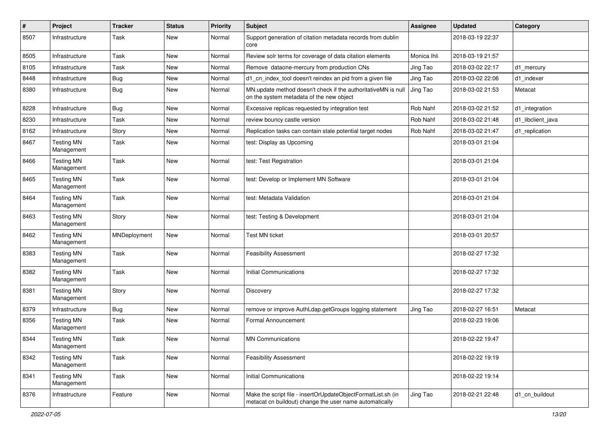| #    | Project                         | <b>Tracker</b> | <b>Status</b> | <b>Priority</b> | Subject                                                                                                                 | <b>Assignee</b> | <b>Updated</b>   | Category          |
|------|---------------------------------|----------------|---------------|-----------------|-------------------------------------------------------------------------------------------------------------------------|-----------------|------------------|-------------------|
| 8507 | Infrastructure                  | Task           | New           | Normal          | Support generation of citation metadata records from dublin<br>core                                                     |                 | 2018-03-19 22:37 |                   |
| 8505 | Infrastructure                  | Task           | New           | Normal          | Review solr terms for coverage of data citation elements                                                                | Monica Ihli     | 2018-03-19 21:57 |                   |
| 8105 | Infrastructure                  | Task           | <b>New</b>    | Normal          | Remove dataone-mercury from production CNs                                                                              | Jing Tao        | 2018-03-02 22:17 | d1_mercury        |
| 8448 | Infrastructure                  | <b>Bug</b>     | <b>New</b>    | Normal          | d1_cn_index_tool doesn't reindex an pid from a given file                                                               | Jing Tao        | 2018-03-02 22:06 | d1 indexer        |
| 8380 | Infrastructure                  | <b>Bug</b>     | New           | Normal          | MN.update method doesn't check if the authoritativeMN is null<br>on the system metadata of the new object               | Jing Tao        | 2018-03-02 21:53 | Metacat           |
| 8228 | Infrastructure                  | <b>Bug</b>     | <b>New</b>    | Normal          | Excessive replicas requested by integration test                                                                        | Rob Nahf        | 2018-03-02 21:52 | d1 integration    |
| 8230 | Infrastructure                  | Task           | New           | Normal          | review bouncy castle version                                                                                            | Rob Nahf        | 2018-03-02 21:48 | d1_libclient_java |
| 8162 | Infrastructure                  | Story          | New           | Normal          | Replication tasks can contain stale potential target nodes                                                              | Rob Nahf        | 2018-03-02 21:47 | d1_replication    |
| 8467 | <b>Testing MN</b><br>Management | Task           | New           | Normal          | test: Display as Upcoming                                                                                               |                 | 2018-03-01 21:04 |                   |
| 8466 | <b>Testing MN</b><br>Management | Task           | New           | Normal          | test: Test Registration                                                                                                 |                 | 2018-03-01 21:04 |                   |
| 8465 | <b>Testing MN</b><br>Management | Task           | New           | Normal          | test: Develop or Implement MN Software                                                                                  |                 | 2018-03-01 21:04 |                   |
| 8464 | <b>Testing MN</b><br>Management | Task           | New           | Normal          | test: Metadata Validation                                                                                               |                 | 2018-03-01 21:04 |                   |
| 8463 | <b>Testing MN</b><br>Management | Story          | New           | Normal          | test: Testing & Development                                                                                             |                 | 2018-03-01 21:04 |                   |
| 8462 | <b>Testing MN</b><br>Management | MNDeployment   | New           | Normal          | <b>Test MN ticket</b>                                                                                                   |                 | 2018-03-01 20:57 |                   |
| 8383 | <b>Testing MN</b><br>Management | Task           | <b>New</b>    | Normal          | <b>Feasibility Assessment</b>                                                                                           |                 | 2018-02-27 17:32 |                   |
| 8382 | <b>Testing MN</b><br>Management | Task           | New           | Normal          | <b>Initial Communications</b>                                                                                           |                 | 2018-02-27 17:32 |                   |
| 8381 | <b>Testing MN</b><br>Management | Story          | New           | Normal          | Discovery                                                                                                               |                 | 2018-02-27 17:32 |                   |
| 8379 | Infrastructure                  | <b>Bug</b>     | <b>New</b>    | Normal          | remove or improve AuthLdap.getGroups logging statement                                                                  | Jing Tao        | 2018-02-27 16:51 | Metacat           |
| 8356 | <b>Testing MN</b><br>Management | Task           | <b>New</b>    | Normal          | Formal Announcement                                                                                                     |                 | 2018-02-23 19:06 |                   |
| 8344 | <b>Testing MN</b><br>Management | Task           | New           | Normal          | <b>MN Communications</b>                                                                                                |                 | 2018-02-22 19:47 |                   |
| 8342 | <b>Testing MN</b><br>Management | Task           | New           | Normal          | <b>Feasibility Assessment</b>                                                                                           |                 | 2018-02-22 19:19 |                   |
| 8341 | <b>Testing MN</b><br>Management | Task           | New           | Normal          | <b>Initial Communications</b>                                                                                           |                 | 2018-02-22 19:14 |                   |
| 8376 | Infrastructure                  | Feature        | New           | Normal          | Make the script file - insertOrUpdateObjectFormatList.sh (in<br>metacat cn buildout) change the user name automatically | Jing Tao        | 2018-02-21 22:48 | d1_cn_buildout    |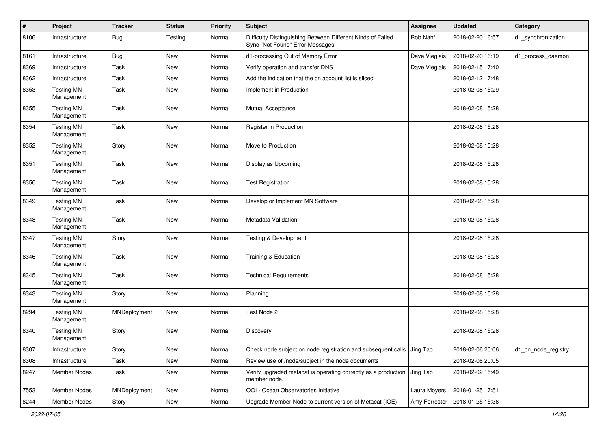| $\pmb{\#}$ | Project                         | <b>Tracker</b> | <b>Status</b> | <b>Priority</b> | Subject                                                                                        | Assignee      | <b>Updated</b>   | Category            |
|------------|---------------------------------|----------------|---------------|-----------------|------------------------------------------------------------------------------------------------|---------------|------------------|---------------------|
| 8106       | Infrastructure                  | <b>Bug</b>     | Testing       | Normal          | Difficulty Distinguishing Between Different Kinds of Failed<br>Sync "Not Found" Error Messages | Rob Nahf      | 2018-02-20 16:57 | d1_synchronization  |
| 8161       | Infrastructure                  | <b>Bug</b>     | New           | Normal          | d1-processing Out of Memory Error                                                              | Dave Vieglais | 2018-02-20 16:19 | d1_process_daemon   |
| 8369       | Infrastructure                  | Task           | New           | Normal          | Verify operation and transfer DNS                                                              | Dave Vieglais | 2018-02-15 17:40 |                     |
| 8362       | Infrastructure                  | Task           | New           | Normal          | Add the indication that the cn account list is sliced                                          |               | 2018-02-12 17:48 |                     |
| 8353       | <b>Testing MN</b><br>Management | Task           | New           | Normal          | Implement in Production                                                                        |               | 2018-02-08 15:29 |                     |
| 8355       | <b>Testing MN</b><br>Management | Task           | New           | Normal          | <b>Mutual Acceptance</b>                                                                       |               | 2018-02-08 15:28 |                     |
| 8354       | <b>Testing MN</b><br>Management | Task           | New           | Normal          | Register in Production                                                                         |               | 2018-02-08 15:28 |                     |
| 8352       | <b>Testing MN</b><br>Management | Story          | New           | Normal          | Move to Production                                                                             |               | 2018-02-08 15:28 |                     |
| 8351       | <b>Testing MN</b><br>Management | Task           | New           | Normal          | Display as Upcoming                                                                            |               | 2018-02-08 15:28 |                     |
| 8350       | <b>Testing MN</b><br>Management | Task           | New           | Normal          | <b>Test Registration</b>                                                                       |               | 2018-02-08 15:28 |                     |
| 8349       | <b>Testing MN</b><br>Management | Task           | New           | Normal          | Develop or Implement MN Software                                                               |               | 2018-02-08 15:28 |                     |
| 8348       | <b>Testing MN</b><br>Management | Task           | New           | Normal          | Metadata Validation                                                                            |               | 2018-02-08 15:28 |                     |
| 8347       | <b>Testing MN</b><br>Management | Story          | New           | Normal          | Testing & Development                                                                          |               | 2018-02-08 15:28 |                     |
| 8346       | <b>Testing MN</b><br>Management | Task           | New           | Normal          | Training & Education                                                                           |               | 2018-02-08 15:28 |                     |
| 8345       | <b>Testing MN</b><br>Management | Task           | New           | Normal          | <b>Technical Requirements</b>                                                                  |               | 2018-02-08 15:28 |                     |
| 8343       | <b>Testing MN</b><br>Management | Story          | New           | Normal          | Planning                                                                                       |               | 2018-02-08 15:28 |                     |
| 8294       | <b>Testing MN</b><br>Management | MNDeployment   | New           | Normal          | Test Node 2                                                                                    |               | 2018-02-08 15:28 |                     |
| 8340       | <b>Testing MN</b><br>Management | Story          | New           | Normal          | Discovery                                                                                      |               | 2018-02-08 15:28 |                     |
| 8307       | Infrastructure                  | Story          | New           | Normal          | Check node subject on node registration and subsequent calls Jing Tao                          |               | 2018-02-06 20:06 | d1_cn_node_registry |
| 8308       | Infrastructure                  | Task           | New           | Normal          | Review use of /node/subject in the node documents                                              |               | 2018-02-06 20:05 |                     |
| 8247       | Member Nodes                    | Task           | New           | Normal          | Verify upgraded metacat is operating correctly as a production<br>member node.                 | Jing Tao      | 2018-02-02 15:49 |                     |
| 7553       | Member Nodes                    | MNDeployment   | New           | Normal          | OOI - Ocean Observatories Initiative                                                           | Laura Moyers  | 2018-01-25 17:51 |                     |
| 8244       | Member Nodes                    | Story          | New           | Normal          | Upgrade Member Node to current version of Metacat (IOE)                                        | Amy Forrester | 2018-01-25 15:36 |                     |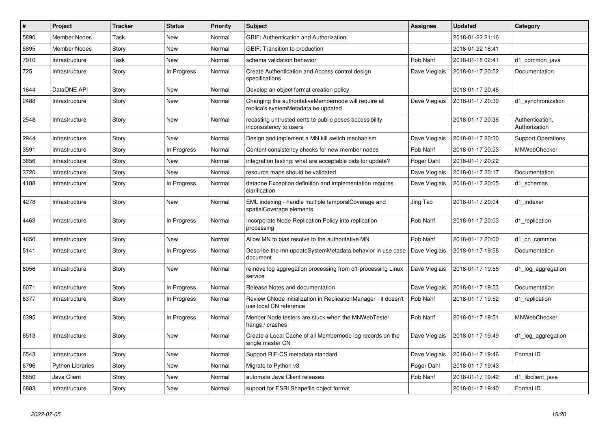| $\#$ | Project                 | <b>Tracker</b> | <b>Status</b> | <b>Priority</b> | <b>Subject</b>                                                                               | Assignee      | <b>Updated</b>   | Category                         |
|------|-------------------------|----------------|---------------|-----------------|----------------------------------------------------------------------------------------------|---------------|------------------|----------------------------------|
| 5890 | <b>Member Nodes</b>     | Task           | New           | Normal          | <b>GBIF: Authentication and Authorization</b>                                                |               | 2018-01-22 21:16 |                                  |
| 5895 | <b>Member Nodes</b>     | Story          | <b>New</b>    | Normal          | GBIF: Transition to production                                                               |               | 2018-01-22 18:41 |                                  |
| 7910 | Infrastructure          | Task           | New           | Normal          | schema validation behavior                                                                   | Rob Nahf      | 2018-01-18 02:41 | d1 common java                   |
| 725  | Infrastructure          | Story          | In Progress   | Normal          | Create Authentication and Access control design<br>specifications                            | Dave Vieglais | 2018-01-17 20:52 | Documentation                    |
| 1644 | DataONE API             | Story          | New           | Normal          | Develop an object format creation policy                                                     |               | 2018-01-17 20:46 |                                  |
| 2488 | Infrastructure          | Story          | New           | Normal          | Changing the authoritativeMembernode will require all<br>replica's systemMetadata be updated | Dave Vieglais | 2018-01-17 20:39 | d1_synchronization               |
| 2548 | Infrastructure          | Story          | <b>New</b>    | Normal          | recasting untrusted certs to public poses accessibility<br>inconsistency to users            |               | 2018-01-17 20:36 | Authentication,<br>Authorization |
| 2944 | Infrastructure          | Story          | <b>New</b>    | Normal          | Design and implement a MN kill switch mechanism                                              | Dave Vieglais | 2018-01-17 20:30 | <b>Support Operations</b>        |
| 3591 | Infrastructure          | Story          | In Progress   | Normal          | Content consistency checks for new member nodes                                              | Rob Nahf      | 2018-01-17 20:23 | MNWebChecker                     |
| 3656 | Infrastructure          | Story          | New           | Normal          | integration testing: what are acceptable pids for update?                                    | Roger Dahl    | 2018-01-17 20:22 |                                  |
| 3720 | Infrastructure          | Story          | <b>New</b>    | Normal          | resource maps should be validated                                                            | Dave Vieglais | 2018-01-17 20:17 | Documentation                    |
| 4188 | Infrastructure          | Story          | In Progress   | Normal          | dataone Exception definition and implementation requires<br>clarification                    | Dave Vieglais | 2018-01-17 20:05 | d1 schemas                       |
| 4278 | Infrastructure          | Story          | <b>New</b>    | Normal          | EML indexing - handle multiple temporalCoverage and<br>spatialCoverage elements              | Jing Tao      | 2018-01-17 20:04 | d1 indexer                       |
| 4463 | Infrastructure          | Story          | In Progress   | Normal          | Incorporate Node Replication Policy into replication<br>processing                           | Rob Nahf      | 2018-01-17 20:03 | d1 replication                   |
| 4650 | Infrastructure          | Story          | <b>New</b>    | Normal          | Allow MN to bias resolve to the authoritative MN                                             | Rob Nahf      | 2018-01-17 20:00 | d1 cn common                     |
| 5141 | Infrastructure          | Story          | In Progress   | Normal          | Describe the mn.updateSystemMetadata behavior in use case<br>document                        | Dave Vieglais | 2018-01-17 19:58 | Documentation                    |
| 6056 | Infrastructure          | Story          | New           | Normal          | remove log aggregation processing from d1-processing Linux<br>service                        | Dave Vieglais | 2018-01-17 19:55 | d1 log aggregation               |
| 6071 | Infrastructure          | Story          | In Progress   | Normal          | Release Notes and documentation                                                              | Dave Vieglais | 2018-01-17 19:53 | Documentation                    |
| 6377 | Infrastructure          | Story          | In Progress   | Normal          | Review CNode initialization in ReplicationManager - it doesn't<br>use local CN reference     | Rob Nahf      | 2018-01-17 19:52 | d1 replication                   |
| 6395 | Infrastructure          | Story          | In Progress   | Normal          | Menber Node testers are stuck when the MNWebTester<br>hangs / crashes                        | Rob Nahf      | 2018-01-17 19:51 | MNWebChecker                     |
| 6513 | Infrastructure          | Story          | <b>New</b>    | Normal          | Create a Local Cache of all Membernode log records on the<br>single master CN                | Dave Vieglais | 2018-01-17 19:49 | d1_log_aggregation               |
| 6543 | Infrastructure          | Story          | <b>New</b>    | Normal          | Support RIF-CS metadata standard                                                             | Dave Vieglais | 2018-01-17 19:46 | Format ID                        |
| 6796 | <b>Python Libraries</b> | Story          | <b>New</b>    | Normal          | Migrate to Python v3                                                                         | Roger Dahl    | 2018-01-17 19:43 |                                  |
| 6850 | Java Client             | Story          | New           | Normal          | automate Java Client releases                                                                | Rob Nahf      | 2018-01-17 19:42 | d1_libclient_java                |
| 6883 | Infrastructure          | Story          | New           | Normal          | support for ESRI Shapefile object format                                                     |               | 2018-01-17 19:40 | Format ID                        |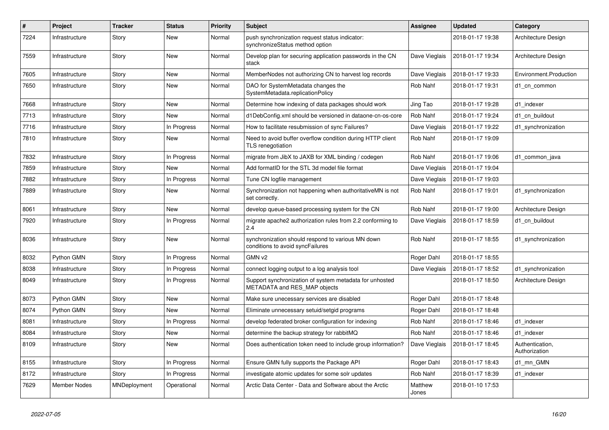| #    | Project             | <b>Tracker</b> | <b>Status</b> | <b>Priority</b> | <b>Subject</b>                                                                          | Assignee         | <b>Updated</b>   | Category                         |
|------|---------------------|----------------|---------------|-----------------|-----------------------------------------------------------------------------------------|------------------|------------------|----------------------------------|
| 7224 | Infrastructure      | Story          | New           | Normal          | push synchronization request status indicator:<br>synchronizeStatus method option       |                  | 2018-01-17 19:38 | Architecture Design              |
| 7559 | Infrastructure      | Story          | New           | Normal          | Develop plan for securing application passwords in the CN<br>stack                      | Dave Vieglais    | 2018-01-17 19:34 | Architecture Design              |
| 7605 | Infrastructure      | Story          | New           | Normal          | MemberNodes not authorizing CN to harvest log records                                   | Dave Vieglais    | 2018-01-17 19:33 | Environment.Production           |
| 7650 | Infrastructure      | Story          | New           | Normal          | DAO for SystemMetadata changes the<br>SystemMetadata.replicationPolicy                  | Rob Nahf         | 2018-01-17 19:31 | d1 cn common                     |
| 7668 | Infrastructure      | Story          | <b>New</b>    | Normal          | Determine how indexing of data packages should work                                     | Jing Tao         | 2018-01-17 19:28 | d1 indexer                       |
| 7713 | Infrastructure      | Story          | <b>New</b>    | Normal          | d1DebConfig.xml should be versioned in dataone-cn-os-core                               | Rob Nahf         | 2018-01-17 19:24 | d1 cn buildout                   |
| 7716 | Infrastructure      | Story          | In Progress   | Normal          | How to facilitate resubmission of sync Failures?                                        | Dave Vieglais    | 2018-01-17 19:22 | d1 synchronization               |
| 7810 | Infrastructure      | Story          | New           | Normal          | Need to avoid buffer overflow condition during HTTP client<br>TLS renegotiation         | Rob Nahf         | 2018-01-17 19:09 |                                  |
| 7832 | Infrastructure      | Story          | In Progress   | Normal          | migrate from JibX to JAXB for XML binding / codegen                                     | Rob Nahf         | 2018-01-17 19:06 | d1 common java                   |
| 7859 | Infrastructure      | Story          | New           | Normal          | Add formatID for the STL 3d model file format                                           | Dave Vieglais    | 2018-01-17 19:04 |                                  |
| 7882 | Infrastructure      | Story          | In Progress   | Normal          | Tune CN logfile management                                                              | Dave Vieglais    | 2018-01-17 19:03 |                                  |
| 7889 | Infrastructure      | Story          | New           | Normal          | Synchronization not happening when authoritativeMN is not<br>set correctly.             | Rob Nahf         | 2018-01-17 19:01 | d1 synchronization               |
| 8061 | Infrastructure      | Story          | <b>New</b>    | Normal          | develop queue-based processing system for the CN                                        | Rob Nahf         | 2018-01-17 19:00 | Architecture Design              |
| 7920 | Infrastructure      | Story          | In Progress   | Normal          | migrate apache2 authorization rules from 2.2 conforming to<br>2.4                       | Dave Vieglais    | 2018-01-17 18:59 | d1_cn_buildout                   |
| 8036 | Infrastructure      | Story          | <b>New</b>    | Normal          | synchronization should respond to various MN down<br>conditions to avoid syncFailures   | Rob Nahf         | 2018-01-17 18:55 | d1 synchronization               |
| 8032 | Python GMN          | Story          | In Progress   | Normal          | GMN v2                                                                                  | Roger Dahl       | 2018-01-17 18:55 |                                  |
| 8038 | Infrastructure      | Story          | In Progress   | Normal          | connect logging output to a log analysis tool                                           | Dave Vieglais    | 2018-01-17 18:52 | d1 synchronization               |
| 8049 | Infrastructure      | Story          | In Progress   | Normal          | Support synchronization of system metadata for unhosted<br>METADATA and RES_MAP objects |                  | 2018-01-17 18:50 | Architecture Design              |
| 8073 | Python GMN          | Story          | <b>New</b>    | Normal          | Make sure unecessary services are disabled                                              | Roger Dahl       | 2018-01-17 18:48 |                                  |
| 8074 | Python GMN          | Story          | <b>New</b>    | Normal          | Eliminate unnecessary setuid/setgid programs                                            | Roger Dahl       | 2018-01-17 18:48 |                                  |
| 8081 | Infrastructure      | Story          | In Progress   | Normal          | develop federated broker configuration for indexing                                     | Rob Nahf         | 2018-01-17 18:46 | d1 indexer                       |
| 8084 | Infrastructure      | Story          | New           | Normal          | determine the backup strategy for rabbitMQ                                              | Rob Nahf         | 2018-01-17 18:46 | d1 indexer                       |
| 8109 | Infrastructure      | Story          | New           | Normal          | Does authentication token need to include group information?                            | Dave Vieglais    | 2018-01-17 18:45 | Authentication,<br>Authorization |
| 8155 | Infrastructure      | Story          | In Progress   | Normal          | Ensure GMN fully supports the Package API                                               | Roger Dahl       | 2018-01-17 18:43 | d1 mn GMN                        |
| 8172 | Infrastructure      | Story          | In Progress   | Normal          | investigate atomic updates for some solr updates                                        | Rob Nahf         | 2018-01-17 18:39 | d1 indexer                       |
| 7629 | <b>Member Nodes</b> | MNDeployment   | Operational   | Normal          | Arctic Data Center - Data and Software about the Arctic                                 | Matthew<br>Jones | 2018-01-10 17:53 |                                  |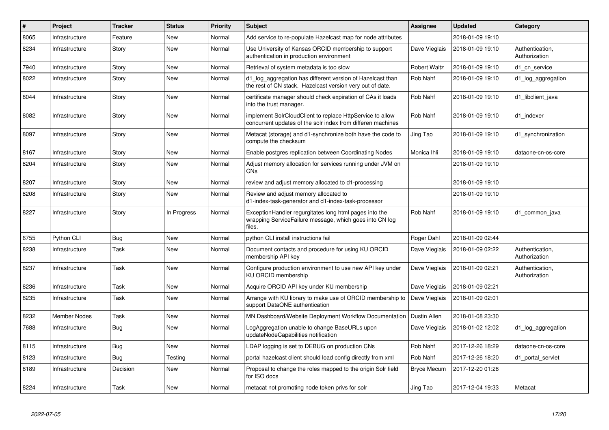| $\#$ | Project             | <b>Tracker</b> | <b>Status</b> | <b>Priority</b> | <b>Subject</b>                                                                                                              | <b>Assignee</b>    | <b>Updated</b>   | Category                         |
|------|---------------------|----------------|---------------|-----------------|-----------------------------------------------------------------------------------------------------------------------------|--------------------|------------------|----------------------------------|
| 8065 | Infrastructure      | Feature        | New           | Normal          | Add service to re-populate Hazelcast map for node attributes                                                                |                    | 2018-01-09 19:10 |                                  |
| 8234 | Infrastructure      | Story          | New           | Normal          | Use University of Kansas ORCID membership to support<br>authentication in production environment                            | Dave Vieglais      | 2018-01-09 19:10 | Authentication,<br>Authorization |
| 7940 | Infrastructure      | Story          | New           | Normal          | Retrieval of system metadata is too slow                                                                                    | Robert Waltz       | 2018-01-09 19:10 | d1 cn service                    |
| 8022 | Infrastructure      | Story          | New           | Normal          | d1_log_aggregation has different version of Hazelcast than<br>the rest of CN stack. Hazelcast version very out of date.     | Rob Nahf           | 2018-01-09 19:10 | d1_log_aggregation               |
| 8044 | Infrastructure      | Story          | New           | Normal          | certificate manager should check expiration of CAs it loads<br>into the trust manager.                                      | Rob Nahf           | 2018-01-09 19:10 | d1 libclient java                |
| 8082 | Infrastructure      | Story          | New           | Normal          | implement SolrCloudClient to replace HttpService to allow<br>concurrent updates of the solr index from differen machines    | Rob Nahf           | 2018-01-09 19:10 | d1 indexer                       |
| 8097 | Infrastructure      | Story          | New           | Normal          | Metacat (storage) and d1-synchronize both have the code to<br>compute the checksum                                          | Jing Tao           | 2018-01-09 19:10 | d1_synchronization               |
| 8167 | Infrastructure      | Story          | New           | Normal          | Enable postgres replication between Coordinating Nodes                                                                      | Monica Ihli        | 2018-01-09 19:10 | dataone-cn-os-core               |
| 8204 | Infrastructure      | Story          | New           | Normal          | Adjust memory allocation for services running under JVM on<br>CNs                                                           |                    | 2018-01-09 19:10 |                                  |
| 8207 | Infrastructure      | Story          | New           | Normal          | review and adjust memory allocated to d1-processing                                                                         |                    | 2018-01-09 19:10 |                                  |
| 8208 | Infrastructure      | Story          | New           | Normal          | Review and adjust memory allocated to<br>d1-index-task-generator and d1-index-task-processor                                |                    | 2018-01-09 19:10 |                                  |
| 8227 | Infrastructure      | Story          | In Progress   | Normal          | ExceptionHandler regurgitates long html pages into the<br>wrapping ServiceFailure message, which goes into CN log<br>files. | Rob Nahf           | 2018-01-09 19:10 | d1 common java                   |
| 6755 | Python CLI          | <b>Bug</b>     | New           | Normal          | python CLI install instructions fail                                                                                        | Roger Dahl         | 2018-01-09 02:44 |                                  |
| 8238 | Infrastructure      | Task           | New           | Normal          | Document contacts and procedure for using KU ORCID<br>membership API key                                                    | Dave Vieglais      | 2018-01-09 02:22 | Authentication,<br>Authorization |
| 8237 | Infrastructure      | Task           | New           | Normal          | Configure production environment to use new API key under<br>KU ORCID membership                                            | Dave Vieglais      | 2018-01-09 02:21 | Authentication,<br>Authorization |
| 8236 | Infrastructure      | Task           | New           | Normal          | Acquire ORCID API key under KU membership                                                                                   | Dave Vieglais      | 2018-01-09 02:21 |                                  |
| 8235 | Infrastructure      | Task           | New           | Normal          | Arrange with KU library to make use of ORCID membership to<br>support DataONE authentication                                | Dave Vieglais      | 2018-01-09 02:01 |                                  |
| 8232 | <b>Member Nodes</b> | Task           | New           | Normal          | MN Dashboard/Website Deployment Workflow Documentation                                                                      | Dustin Allen       | 2018-01-08 23:30 |                                  |
| 7688 | Infrastructure      | <b>Bug</b>     | New           | Normal          | LogAggregation unable to change BaseURLs upon<br>updateNodeCapabilities notification                                        | Dave Vieglais      | 2018-01-02 12:02 | d1 log aggregation               |
| 8115 | Infrastructure      | <b>Bug</b>     | New           | Normal          | LDAP logging is set to DEBUG on production CNs                                                                              | Rob Nahf           | 2017-12-26 18:29 | dataone-cn-os-core               |
| 8123 | Infrastructure      | Bug            | Testing       | Normal          | portal hazelcast client should load config directly from xml                                                                | Rob Nahf           | 2017-12-26 18:20 | d1 portal servlet                |
| 8189 | Infrastructure      | Decision       | New           | Normal          | Proposal to change the roles mapped to the origin Solr field<br>for ISO docs                                                | <b>Bryce Mecum</b> | 2017-12-20 01:28 |                                  |
| 8224 | Infrastructure      | Task           | New           | Normal          | metacat not promoting node token privs for solr                                                                             | Jing Tao           | 2017-12-04 19:33 | Metacat                          |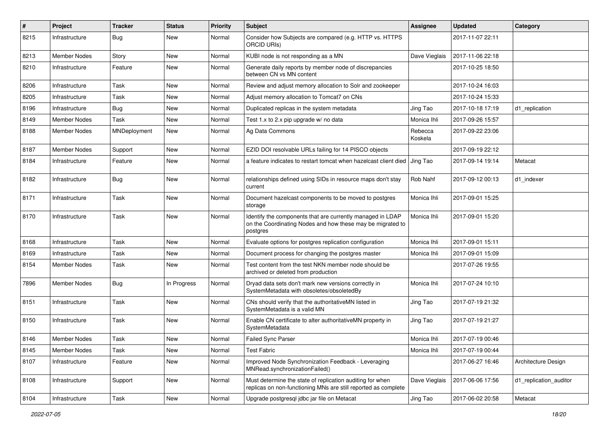| $\vert$ # | Project             | <b>Tracker</b> | <b>Status</b> | <b>Priority</b> | Subject                                                                                                                              | Assignee           | <b>Updated</b>   | Category               |
|-----------|---------------------|----------------|---------------|-----------------|--------------------------------------------------------------------------------------------------------------------------------------|--------------------|------------------|------------------------|
| 8215      | Infrastructure      | <b>Bug</b>     | New           | Normal          | Consider how Subjects are compared (e.g. HTTP vs. HTTPS<br><b>ORCID URIS)</b>                                                        |                    | 2017-11-07 22:11 |                        |
| 8213      | Member Nodes        | Story          | New           | Normal          | KUBI node is not responding as a MN                                                                                                  | Dave Vieglais      | 2017-11-06 22:18 |                        |
| 8210      | Infrastructure      | Feature        | New           | Normal          | Generate daily reports by member node of discrepancies<br>between CN vs MN content                                                   |                    | 2017-10-25 18:50 |                        |
| 8206      | Infrastructure      | Task           | New           | Normal          | Review and adjust memory allocation to Solr and zookeeper                                                                            |                    | 2017-10-24 16:03 |                        |
| 8205      | Infrastructure      | Task           | New           | Normal          | Adjust memory allocation to Tomcat7 on CNs                                                                                           |                    | 2017-10-24 15:33 |                        |
| 8196      | Infrastructure      | <b>Bug</b>     | New           | Normal          | Duplicated replicas in the system metadata                                                                                           | Jing Tao           | 2017-10-18 17:19 | d1 replication         |
| 8149      | Member Nodes        | Task           | New           | Normal          | Test 1.x to 2.x pip upgrade w/ no data                                                                                               | Monica Ihli        | 2017-09-26 15:57 |                        |
| 8188      | Member Nodes        | MNDeployment   | New           | Normal          | Ag Data Commons                                                                                                                      | Rebecca<br>Koskela | 2017-09-22 23:06 |                        |
| 8187      | <b>Member Nodes</b> | Support        | New           | Normal          | EZID DOI resolvable URLs failing for 14 PISCO objects                                                                                |                    | 2017-09-19 22:12 |                        |
| 8184      | Infrastructure      | Feature        | New           | Normal          | a feature indicates to restart tomcat when hazelcast client died                                                                     | Jing Tao           | 2017-09-14 19:14 | Metacat                |
| 8182      | Infrastructure      | <b>Bug</b>     | New           | Normal          | relationships defined using SIDs in resource maps don't stay<br>current                                                              | Rob Nahf           | 2017-09-12 00:13 | d1 indexer             |
| 8171      | Infrastructure      | Task           | New           | Normal          | Document hazelcast components to be moved to postgres<br>storage                                                                     | Monica Ihli        | 2017-09-01 15:25 |                        |
| 8170      | Infrastructure      | Task           | New           | Normal          | Identify the components that are currently managed in LDAP<br>on the Coordinating Nodes and how these may be migrated to<br>postgres | Monica Ihli        | 2017-09-01 15:20 |                        |
| 8168      | Infrastructure      | Task           | New           | Normal          | Evaluate options for postgres replication configuration                                                                              | Monica Ihli        | 2017-09-01 15:11 |                        |
| 8169      | Infrastructure      | Task           | New           | Normal          | Document process for changing the postgres master                                                                                    | Monica Ihli        | 2017-09-01 15:09 |                        |
| 8154      | Member Nodes        | Task           | New           | Normal          | Test content from the test NKN member node should be<br>archived or deleted from production                                          |                    | 2017-07-26 19:55 |                        |
| 7896      | <b>Member Nodes</b> | <b>Bug</b>     | In Progress   | Normal          | Dryad data sets don't mark new versions correctly in<br>SystemMetadata with obsoletes/obsoletedBy                                    | Monica Ihli        | 2017-07-24 10:10 |                        |
| 8151      | Infrastructure      | Task           | New           | Normal          | CNs should verify that the authoritativeMN listed in<br>SystemMetadata is a valid MN                                                 | Jing Tao           | 2017-07-19 21:32 |                        |
| 8150      | Infrastructure      | Task           | New           | Normal          | Enable CN certificate to alter authoritativeMN property in<br>SystemMetadata                                                         | Jing Tao           | 2017-07-19 21:27 |                        |
| 8146      | <b>Member Nodes</b> | Task           | New           | Normal          | <b>Failed Sync Parser</b>                                                                                                            | Monica Ihli        | 2017-07-19 00:46 |                        |
| 8145      | Member Nodes        | Task           | New           | Normal          | <b>Test Fabric</b>                                                                                                                   | Monica Ihli        | 2017-07-19 00:44 |                        |
| 8107      | Infrastructure      | Feature        | New           | Normal          | Improved Node Synchronization Feedback - Leveraging<br>MNRead.synchronizationFailed()                                                |                    | 2017-06-27 16:46 | Architecture Design    |
| 8108      | Infrastructure      | Support        | New           | Normal          | Must determine the state of replication auditing for when<br>replicas on non-functioning MNs are still reported as complete          | Dave Vieglais      | 2017-06-06 17:56 | d1 replication auditor |
| 8104      | Infrastructure      | Task           | New           | Normal          | Upgrade postgresql jdbc jar file on Metacat                                                                                          | Jing Tao           | 2017-06-02 20:58 | Metacat                |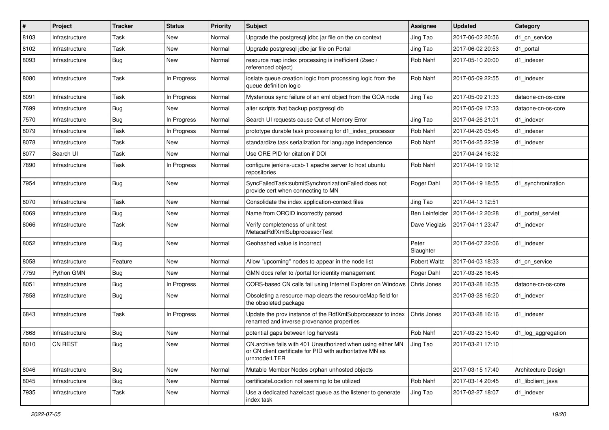| #    | Project        | <b>Tracker</b> | <b>Status</b> | <b>Priority</b> | <b>Subject</b>                                                                                                                                     | <b>Assignee</b>     | <b>Updated</b>   | Category            |
|------|----------------|----------------|---------------|-----------------|----------------------------------------------------------------------------------------------------------------------------------------------------|---------------------|------------------|---------------------|
| 8103 | Infrastructure | Task           | New           | Normal          | Upgrade the postgresql jdbc jar file on the cn context                                                                                             | Jing Tao            | 2017-06-02 20:56 | d1 cn service       |
| 8102 | Infrastructure | Task           | New           | Normal          | Upgrade postgresql jdbc jar file on Portal                                                                                                         | Jing Tao            | 2017-06-02 20:53 | d1_portal           |
| 8093 | Infrastructure | <b>Bug</b>     | New           | Normal          | resource map index processing is inefficient (2sec /<br>referenced object)                                                                         | Rob Nahf            | 2017-05-10 20:00 | d1 indexer          |
| 8080 | Infrastructure | Task           | In Progress   | Normal          | ioslate queue creation logic from processing logic from the<br>queue definition logic                                                              | Rob Nahf            | 2017-05-09 22:55 | d1 indexer          |
| 8091 | Infrastructure | Task           | In Progress   | Normal          | Mysterious sync failure of an eml object from the GOA node                                                                                         | Jing Tao            | 2017-05-09 21:33 | dataone-cn-os-core  |
| 7699 | Infrastructure | Bug            | New           | Normal          | alter scripts that backup postgresgl db                                                                                                            |                     | 2017-05-09 17:33 | dataone-cn-os-core  |
| 7570 | Infrastructure | <b>Bug</b>     | In Progress   | Normal          | Search UI requests cause Out of Memory Error                                                                                                       | Jing Tao            | 2017-04-26 21:01 | d1 indexer          |
| 8079 | Infrastructure | Task           | In Progress   | Normal          | prototype durable task processing for d1 index processor                                                                                           | Rob Nahf            | 2017-04-26 05:45 | d1_indexer          |
| 8078 | Infrastructure | Task           | New           | Normal          | standardize task serialization for language independence                                                                                           | Rob Nahf            | 2017-04-25 22:39 | d1 indexer          |
| 8077 | Search UI      | Task           | New           | Normal          | Use ORE PID for citation if DOI                                                                                                                    |                     | 2017-04-24 16:32 |                     |
| 7890 | Infrastructure | Task           | In Progress   | Normal          | configure jenkins-ucsb-1 apache server to host ubuntu<br>repositories                                                                              | Rob Nahf            | 2017-04-19 19:12 |                     |
| 7954 | Infrastructure | <b>Bug</b>     | New           | Normal          | SyncFailedTask:submitSynchronizationFailed does not<br>provide cert when connecting to MN                                                          | Roger Dahl          | 2017-04-19 18:55 | d1_synchronization  |
| 8070 | Infrastructure | Task           | New           | Normal          | Consolidate the index application-context files                                                                                                    | Jing Tao            | 2017-04-13 12:51 |                     |
| 8069 | Infrastructure | Bug            | New           | Normal          | Name from ORCID incorrectly parsed                                                                                                                 | Ben Leinfelder      | 2017-04-12 20:28 | d1 portal servlet   |
| 8066 | Infrastructure | Task           | New           | Normal          | Verify completeness of unit test<br>MetacatRdfXmlSubprocessorTest                                                                                  | Dave Vieglais       | 2017-04-11 23:47 | d1 indexer          |
| 8052 | Infrastructure | <b>Bug</b>     | New           | Normal          | Geohashed value is incorrect                                                                                                                       | Peter<br>Slaughter  | 2017-04-07 22:06 | d1 indexer          |
| 8058 | Infrastructure | Feature        | New           | Normal          | Allow "upcoming" nodes to appear in the node list                                                                                                  | <b>Robert Waltz</b> | 2017-04-03 18:33 | d1 cn service       |
| 7759 | Python GMN     | Bug            | New           | Normal          | GMN docs refer to /portal for identity management                                                                                                  | Roger Dahl          | 2017-03-28 16:45 |                     |
| 8051 | Infrastructure | Bug            | In Progress   | Normal          | CORS-based CN calls fail using Internet Explorer on Windows                                                                                        | Chris Jones         | 2017-03-28 16:35 | dataone-cn-os-core  |
| 7858 | Infrastructure | Bug            | New           | Normal          | Obsoleting a resource map clears the resourceMap field for<br>the obsoleted package                                                                |                     | 2017-03-28 16:20 | d1 indexer          |
| 6843 | Infrastructure | Task           | In Progress   | Normal          | Update the prov instance of the RdfXmlSubprocessor to index<br>renamed and inverse provenance properties                                           | Chris Jones         | 2017-03-28 16:16 | d1 indexer          |
| 7868 | Infrastructure | Bug            | New           | Normal          | potential gaps between log harvests                                                                                                                | Rob Nahf            | 2017-03-23 15:40 | d1_log_aggregation  |
| 8010 | CN REST        | Bug            | New           | Normal          | CN.archive fails with 401 Unauthorized when using either MN Jing Tao<br>or CN client certificate for PID with authoritative MN as<br>urn:node:LTER |                     | 2017-03-21 17:10 |                     |
| 8046 | Infrastructure | <b>Bug</b>     | New           | Normal          | Mutable Member Nodes orphan unhosted objects                                                                                                       |                     | 2017-03-15 17:40 | Architecture Design |
| 8045 | Infrastructure | <b>Bug</b>     | New           | Normal          | certificateLocation not seeming to be utilized                                                                                                     | Rob Nahf            | 2017-03-14 20:45 | d1 libclient java   |
| 7935 | Infrastructure | Task           | New           | Normal          | Use a dedicated hazelcast queue as the listener to generate<br>index task                                                                          | Jing Tao            | 2017-02-27 18:07 | d1_indexer          |